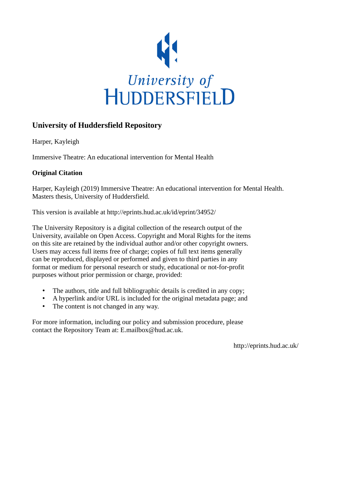

# **University of Huddersfield Repository**

Harper, Kayleigh

Immersive Theatre: An educational intervention for Mental Health

# **Original Citation**

Harper, Kayleigh (2019) Immersive Theatre: An educational intervention for Mental Health. Masters thesis, University of Huddersfield.

This version is available at http://eprints.hud.ac.uk/id/eprint/34952/

The University Repository is a digital collection of the research output of the University, available on Open Access. Copyright and Moral Rights for the items on this site are retained by the individual author and/or other copyright owners. Users may access full items free of charge; copies of full text items generally can be reproduced, displayed or performed and given to third parties in any format or medium for personal research or study, educational or not-for-profit purposes without prior permission or charge, provided:

- The authors, title and full bibliographic details is credited in any copy;
- A hyperlink and/or URL is included for the original metadata page; and
- The content is not changed in any way.

For more information, including our policy and submission procedure, please contact the Repository Team at: E.mailbox@hud.ac.uk.

http://eprints.hud.ac.uk/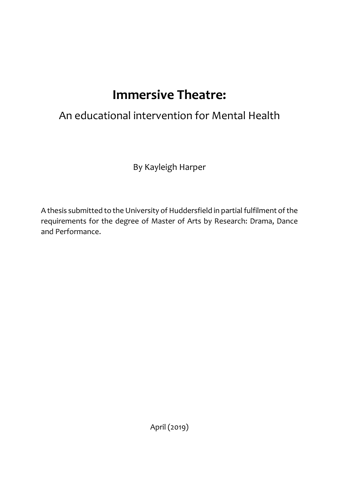# **Immersive Theatre:**

# An educational intervention for Mental Health

By Kayleigh Harper

A thesis submitted to the University of Huddersfield in partial fulfilment of the requirements for the degree of Master of Arts by Research: Drama, Dance and Performance.

April (2019)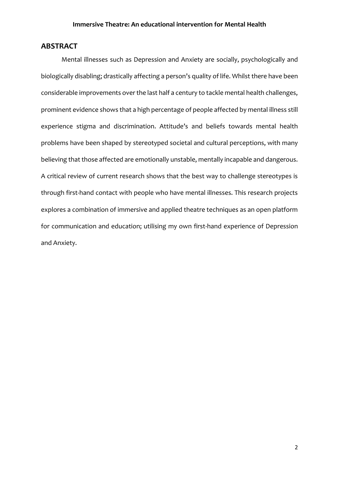# **ABSTRACT**

Mental illnesses such as Depression and Anxiety are socially, psychologically and biologically disabling; drastically affecting a person's quality of life. Whilst there have been considerable improvements over the last half a century to tackle mental health challenges, prominent evidence shows that a high percentage of people affected by mental illness still experience stigma and discrimination. Attitude's and beliefs towards mental health problems have been shaped by stereotyped societal and cultural perceptions, with many believing that those affected are emotionally unstable, mentally incapable and dangerous. A critical review of current research shows that the best way to challenge stereotypes is through first-hand contact with people who have mental illnesses. This research projects explores a combination of immersive and applied theatre techniques as an open platform for communication and education; utilising my own first-hand experience of Depression and Anxiety.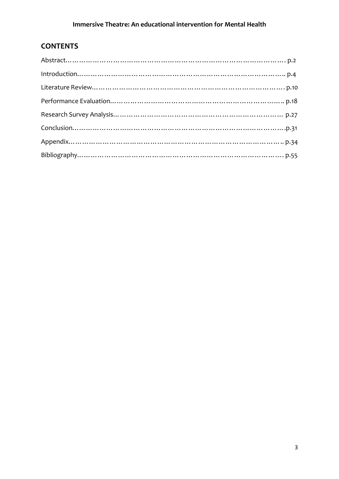# **CONTENTS**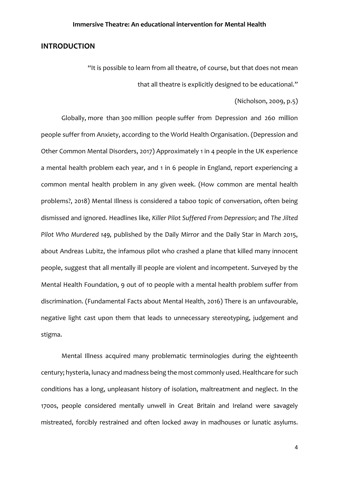## **INTRODUCTION**

"It is possible to learn from all theatre, of course, but that does not mean that all theatre is explicitly designed to be educational."

(Nicholson, 2009, p.5)

Globally, more than 300 million people suffer from Depression and 260 million people suffer from Anxiety, according to the World Health Organisation. (Depression and Other Common Mental Disorders, 2017) Approximately 1 in 4 people in the UK experience a mental health problem each year, and 1 in 6 people in England, report experiencing a common mental health problem in any given week. (How common are mental health problems?, 2018) Mental Illness is considered a taboo topic of conversation, often being dismissed and ignored. Headlines like, *Killer Pilot Suffered From Depression*; and *The Jilted Pilot Who Murdered 149,* published by the Daily Mirror and the Daily Star in March 2015, about Andreas Lubitz, the infamous pilot who crashed a plane that killed many innocent people, suggest that all mentally ill people are violent and incompetent. Surveyed by the Mental Health Foundation, 9 out of 10 people with a mental health problem suffer from discrimination. (Fundamental Facts about Mental Health, 2016) There is an unfavourable, negative light cast upon them that leads to unnecessary stereotyping, judgement and stigma.

Mental Illness acquired many problematic terminologies during the eighteenth century; hysteria, lunacy and madness being the most commonly used. Healthcare for such conditions has a long, unpleasant history of isolation, maltreatment and neglect. In the 1700s, people considered mentally unwell in Great Britain and Ireland were savagely mistreated, forcibly restrained and often locked away in madhouses or lunatic asylums.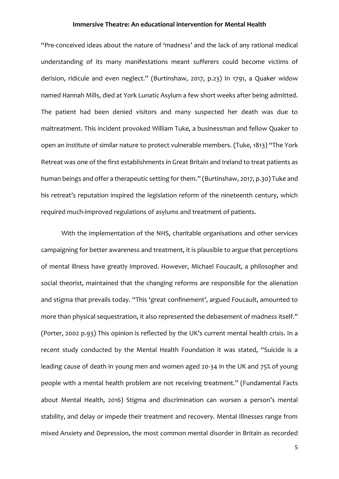"Pre-conceived ideas about the nature of 'madness' and the lack of any rational medical understanding of its many manifestations meant sufferers could become victims of derision, ridicule and even neglect." (Burtinshaw, 2017, p.23) In 1791, a Quaker widow named Hannah Mills, died at York Lunatic Asylum a few short weeks after being admitted. The patient had been denied visitors and many suspected her death was due to maltreatment. This incident provoked William Tuke, a businessman and fellow Quaker to open an institute of similar nature to protect vulnerable members. (Tuke, 1813) "The York Retreat was one of the first establishments in Great Britain and Ireland to treat patients as human beings and offer a therapeutic setting for them." (Burtinshaw, 2017, p.30) Tuke and his retreat's reputation inspired the legislation reform of the nineteenth century, which required much-improved regulations of asylums and treatment of patients.

With the implementation of the NHS, charitable organisations and other services campaigning for better awareness and treatment, it is plausible to argue that perceptions of mental illness have greatly improved. However, Michael Foucault, a philosopher and social theorist, maintained that the changing reforms are responsible for the alienation and stigma that prevails today. "This 'great confinement', argued Foucault, amounted to more than physical sequestration, it also represented the debasement of madness itself." (Porter, 2002 p.93) This opinion is reflected by the UK's current mental health crisis. In a recent study conducted by the Mental Health Foundation it was stated, "Suicide is a leading cause of death in young men and women aged 20-34 in the UK and 75% of young people with a mental health problem are not receiving treatment." (Fundamental Facts about Mental Health, 2016) Stigma and discrimination can worsen a person's mental stability, and delay or impede their treatment and recovery. Mental Illnesses range from mixed Anxiety and Depression, the most common mental disorder in Britain as recorded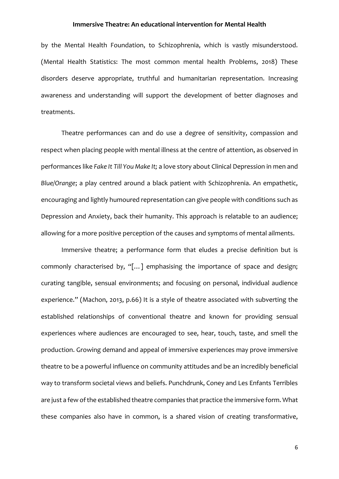by the Mental Health Foundation, to Schizophrenia, which is vastly misunderstood. (Mental Health Statistics: The most common mental health Problems, 2018) These disorders deserve appropriate, truthful and humanitarian representation. Increasing awareness and understanding will support the development of better diagnoses and treatments.

Theatre performances can and do use a degree of sensitivity, compassion and respect when placing people with mental illness at the centre of attention, as observed in performances like *Fake It Till You Make It;* a love story about Clinical Depression in men and *Blue/Orange*; a play centred around a black patient with Schizophrenia. An empathetic, encouraging and lightly humoured representation can give people with conditions such as Depression and Anxiety, back their humanity. This approach is relatable to an audience; allowing for a more positive perception of the causes and symptoms of mental ailments.

Immersive theatre; a performance form that eludes a precise definition but is commonly characterised by, "[…] emphasising the importance of space and design; curating tangible, sensual environments; and focusing on personal, individual audience experience." (Machon, 2013, p.66) It is a style of theatre associated with subverting the established relationships of conventional theatre and known for providing sensual experiences where audiences are encouraged to see, hear, touch, taste, and smell the production. Growing demand and appeal of immersive experiences may prove immersive theatre to be a powerful influence on community attitudes and be an incredibly beneficial way to transform societal views and beliefs. Punchdrunk, Coney and Les Enfants Terribles are just a few of the established theatre companies that practice the immersive form. What these companies also have in common, is a shared vision of creating transformative,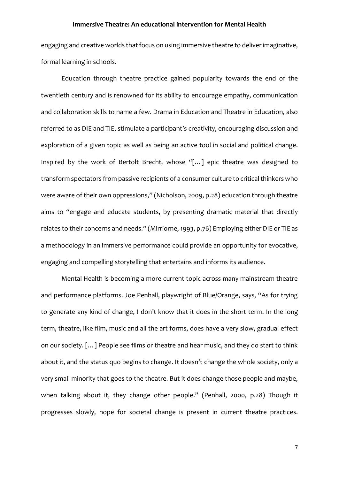engaging and creative worlds that focus on using immersive theatre to deliver imaginative, formal learning in schools.

Education through theatre practice gained popularity towards the end of the twentieth century and is renowned for its ability to encourage empathy, communication and collaboration skills to name a few. Drama in Education and Theatre in Education, also referred to as DIE and TIE, stimulate a participant's creativity, encouraging discussion and exploration of a given topic as well as being an active tool in social and political change. Inspired by the work of Bertolt Brecht, whose "[…] epic theatre was designed to transform spectators from passive recipients of a consumer culture to critical thinkers who were aware of their own oppressions," (Nicholson, 2009, p.28) education through theatre aims to "engage and educate students, by presenting dramatic material that directly relates to their concerns and needs." (Mirriorne, 1993, p.76) Employing either DIE or TIE as a methodology in an immersive performance could provide an opportunity for evocative, engaging and compelling storytelling that entertains and informs its audience.

Mental Health is becoming a more current topic across many mainstream theatre and performance platforms. Joe Penhall, playwright of Blue/Orange, says, "As for trying to generate any kind of change, I don't know that it does in the short term. In the long term, theatre, like film, music and all the art forms, does have a very slow, gradual effect on our society. […] People see films or theatre and hear music, and they do start to think about it, and the status quo begins to change. It doesn't change the whole society, only a very small minority that goes to the theatre. But it does change those people and maybe, when talking about it, they change other people." (Penhall, 2000, p.28) Though it progresses slowly, hope for societal change is present in current theatre practices.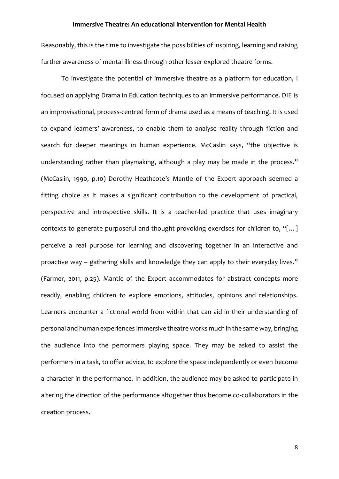Reasonably, this is the time to investigate the possibilities of inspiring, learning and raising further awareness of mental illness through other lesser explored theatre forms.

To investigate the potential of immersive theatre as a platform for education, I focused on applying Drama in Education techniques to an immersive performance. DIE is an improvisational, process-centred form of drama used as a means of teaching. It is used to expand learners' awareness, to enable them to analyse reality through fiction and search for deeper meanings in human experience. McCaslin says, "the objective is understanding rather than playmaking, although a play may be made in the process." (McCaslin, 1990, p.10) Dorothy Heathcote's Mantle of the Expert approach seemed a fitting choice as it makes a significant contribution to the development of practical, perspective and introspective skills. It is a teacher-led practice that uses imaginary contexts to generate purposeful and thought-provoking exercises for children to, "[…] perceive a real purpose for learning and discovering together in an interactive and proactive way – gathering skills and knowledge they can apply to their everyday lives." (Farmer, 2011, p.25). Mantle of the Expert accommodates for abstract concepts more readily, enabling children to explore emotions, attitudes, opinions and relationships. Learners encounter a fictional world from within that can aid in their understanding of personal and human experiences Immersive theatre works much in the same way, bringing the audience into the performers playing space. They may be asked to assist the performers in a task, to offer advice, to explore the space independently or even become a character in the performance. In addition, the audience may be asked to participate in altering the direction of the performance altogether thus become co-collaborators in the creation process.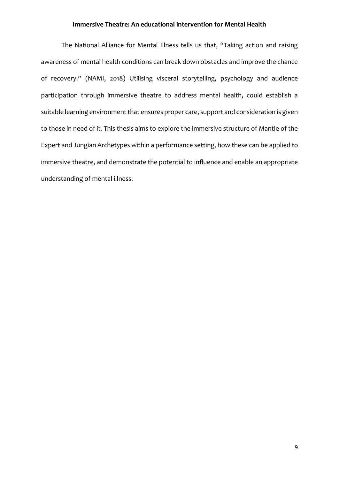The National Alliance for Mental Illness tells us that, "Taking action and raising awareness of mental health conditions can break down obstacles and improve the chance of recovery." (NAMI, 2018) Utilising visceral storytelling, psychology and audience participation through immersive theatre to address mental health, could establish a suitable learning environment that ensures proper care, support and consideration is given to those in need of it. This thesis aims to explore the immersive structure of Mantle of the Expert and Jungian Archetypes within a performance setting, how these can be applied to immersive theatre, and demonstrate the potential to influence and enable an appropriate understanding of mental illness.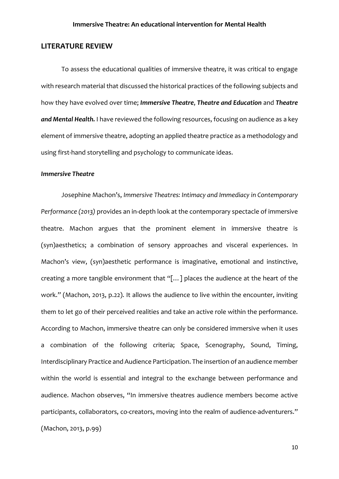# **LITERATURE REVIEW**

To assess the educational qualities of immersive theatre, it was critical to engage with research material that discussed the historical practices of the following subjects and how they have evolved over time; *Immersive Theatre*, *Theatre and Education* and *Theatre and Mental Health.* I have reviewed the following resources, focusing on audience as a key element of immersive theatre, adopting an applied theatre practice as a methodology and using first-hand storytelling and psychology to communicate ideas.

#### *Immersive Theatre*

Josephine Machon's, *Immersive Theatres: Intimacy and Immediacy in Contemporary Performance (2013)* provides an in-depth look at the contemporary spectacle of immersive theatre. Machon argues that the prominent element in immersive theatre is (syn)aesthetics; a combination of sensory approaches and visceral experiences. In Machon's view, (syn)aesthetic performance is imaginative, emotional and instinctive, creating a more tangible environment that "[…] places the audience at the heart of the work." (Machon, 2013, p.22). It allows the audience to live within the encounter, inviting them to let go of their perceived realities and take an active role within the performance. According to Machon, immersive theatre can only be considered immersive when it uses a combination of the following criteria; Space, Scenography, Sound, Timing, Interdisciplinary Practice and Audience Participation. The insertion of an audience member within the world is essential and integral to the exchange between performance and audience. Machon observes, "In immersive theatres audience members become active participants, collaborators, co-creators, moving into the realm of audience-adventurers." (Machon, 2013, p.99)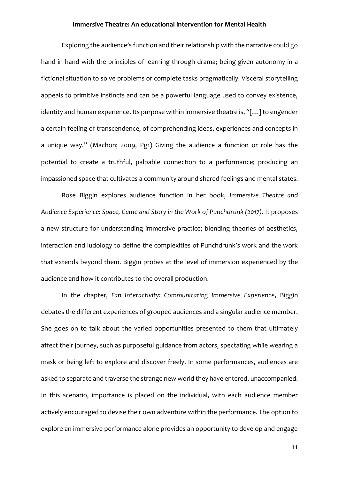Exploring the audience's function and their relationship with the narrative could go hand in hand with the principles of learning through drama; being given autonomy in a fictional situation to solve problems or complete tasks pragmatically. Visceral storytelling appeals to primitive instincts and can be a powerful language used to convey existence, identity and human experience. Its purpose within immersive theatre is, "[…] to engender a certain feeling of transcendence, of comprehending ideas, experiences and concepts in a unique way." (Machon; 2009, Pg1) Giving the audience a function or role has the potential to create a truthful, palpable connection to a performance; producing an impassioned space that cultivates a community around shared feelings and mental states.

Rose Biggin explores audience function in her book, *Immersive Theatre and Audience Experience: Space, Game and Story in the Work of Punchdrunk (2017)*. It proposes a new structure for understanding immersive practice; blending theories of aesthetics, interaction and ludology to define the complexities of Punchdrunk's work and the work that extends beyond them. Biggin probes at the level of immersion experienced by the audience and how it contributes to the overall production.

In the chapter, *Fan Interactivity: Communicating Immersive Experience*, Biggin debates the different experiences of grouped audiences and a singular audience member. She goes on to talk about the varied opportunities presented to them that ultimately affect their journey, such as purposeful guidance from actors, spectating while wearing a mask or being left to explore and discover freely. In some performances, audiences are asked to separate and traverse the strange new world they have entered, unaccompanied. In this scenario, importance is placed on the individual, with each audience member actively encouraged to devise their own adventure within the performance. The option to explore an immersive performance alone provides an opportunity to develop and engage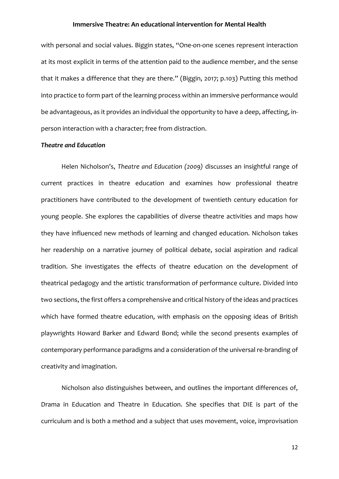with personal and social values. Biggin states, "One-on-one scenes represent interaction at its most explicit in terms of the attention paid to the audience member, and the sense that it makes a difference that they are there." (Biggin, 2017; p.103) Putting this method into practice to form part of the learning process within an immersive performance would be advantageous, as it provides an individual the opportunity to have a deep, affecting, inperson interaction with a character; free from distraction.

#### *Theatre and Education*

Helen Nicholson's, *Theatre and Education (2009)* discusses an insightful range of current practices in theatre education and examines how professional theatre practitioners have contributed to the development of twentieth century education for young people. She explores the capabilities of diverse theatre activities and maps how they have influenced new methods of learning and changed education. Nicholson takes her readership on a narrative journey of political debate, social aspiration and radical tradition. She investigates the effects of theatre education on the development of theatrical pedagogy and the artistic transformation of performance culture. Divided into two sections, the first offers a comprehensive and critical history of the ideas and practices which have formed theatre education, with emphasis on the opposing ideas of British playwrights Howard Barker and Edward Bond; while the second presents examples of contemporary performance paradigms and a consideration of the universal re-branding of creativity and imagination.

Nicholson also distinguishes between, and outlines the important differences of, Drama in Education and Theatre in Education. She specifies that DIE is part of the curriculum and is both a method and a subject that uses movement, voice, improvisation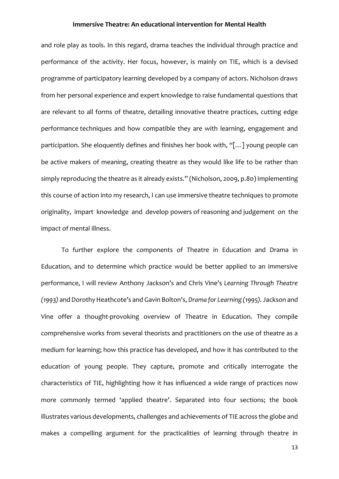and role play as tools. In this regard, drama teaches the individual through practice and performance of the activity. Her focus, however, is mainly on TIE, which is a devised programme of participatory learning developed by a company of actors. Nicholson draws from her personal experience and expert knowledge to raise fundamental questions that are relevant to all forms of theatre, detailing innovative theatre practices, cutting edge performance techniques and how compatible they are with learning, engagement and participation. She eloquently defines and finishes her book with, "[…] young people can be active makers of meaning, creating theatre as they would like life to be rather than simply reproducing the theatre as it already exists." (Nicholson, 2009, p.80) Implementing this course of action into my research, I can use immersive theatre techniques to promote originality, impart knowledge and develop powers of reasoning and judgement on the impact of mental illness.

To further explore the components of Theatre in Education and Drama in Education, and to determine which practice would be better applied to an immersive performance, I will review Anthony Jackson's and Chris Vine's *Learning Through Theatre (1993)* and Dorothy Heathcote's and Gavin Bolton's, *Drama for Learning (1995).* Jackson and Vine offer a thought-provoking overview of Theatre in Education. They compile comprehensive works from several theorists and practitioners on the use of theatre as a medium for learning; how this practice has developed, and how it has contributed to the education of young people. They capture, promote and critically interrogate the characteristics of TIE, highlighting how it has influenced a wide range of practices now more commonly termed 'applied theatre'. Separated into four sections; the book illustrates various developments, challenges and achievements of TIE across the globe and makes a compelling argument for the practicalities of learning through theatre in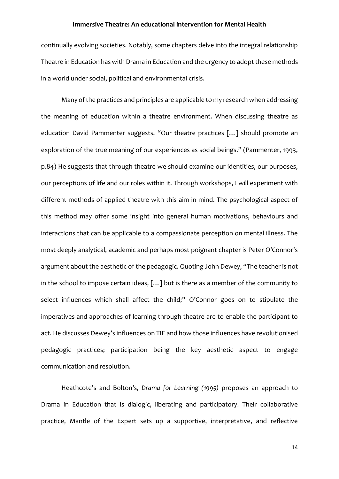continually evolving societies. Notably, some chapters delve into the integral relationship Theatre in Education has with Drama in Education and the urgency to adopt these methods in a world under social, political and environmental crisis.

Many of the practices and principles are applicable to my research when addressing the meaning of education within a theatre environment. When discussing theatre as education David Pammenter suggests, "Our theatre practices […] should promote an exploration of the true meaning of our experiences as social beings." (Pammenter, 1993, p.84) He suggests that through theatre we should examine our identities, our purposes, our perceptions of life and our roles within it. Through workshops, I will experiment with different methods of applied theatre with this aim in mind. The psychological aspect of this method may offer some insight into general human motivations, behaviours and interactions that can be applicable to a compassionate perception on mental illness. The most deeply analytical, academic and perhaps most poignant chapter is Peter O'Connor's argument about the aesthetic of the pedagogic. Quoting John Dewey, "The teacher is not in the school to impose certain ideas, […] but is there as a member of the community to select influences which shall affect the child;" O'Connor goes on to stipulate the imperatives and approaches of learning through theatre are to enable the participant to act. He discusses Dewey's influences on TIE and how those influences have revolutionised pedagogic practices; participation being the key aesthetic aspect to engage communication and resolution.

Heathcote's and Bolton's, *Drama for Learning (1995)* proposes an approach to Drama in Education that is dialogic, liberating and participatory. Their collaborative practice, Mantle of the Expert sets up a supportive, interpretative, and reflective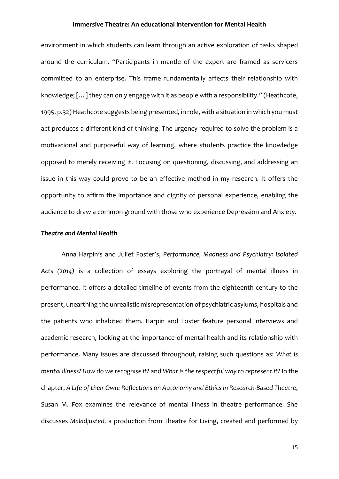environment in which students can learn through an active exploration of tasks shaped around the curriculum. "Participants in mantle of the expert are framed as servicers committed to an enterprise. This frame fundamentally affects their relationship with knowledge; […] they can only engage with it as people with a responsibility." (Heathcote, 1995, p.32) Heathcote suggests being presented, in role, with a situation in which you must act produces a different kind of thinking. The urgency required to solve the problem is a motivational and purposeful way of learning, where students practice the knowledge opposed to merely receiving it. Focusing on questioning, discussing, and addressing an issue in this way could prove to be an effective method in my research. It offers the opportunity to affirm the importance and dignity of personal experience, enabling the audience to draw a common ground with those who experience Depression and Anxiety.

#### *Theatre and Mental Health*

Anna Harpin's and Juliet Foster's, *Performance, Madness and Psychiatry: Isolated Acts (2014)* is a collection of essays exploring the portrayal of mental illness in performance. It offers a detailed timeline of events from the eighteenth century to the present, unearthing the unrealistic misrepresentation of psychiatric asylums, hospitals and the patients who inhabited them. Harpin and Foster feature personal interviews and academic research, looking at the importance of mental health and its relationship with performance. Many issues are discussed throughout, raising such questions as: *What is mental illness? How do we recognise it?* and *What is the respectful way to represent it?* In the chapter, *A Life of their Own: Reflections on Autonomy and Ethics in Research-Based Theatre*, Susan M. Fox examines the relevance of mental illness in theatre performance. She discusses *Maladjusted,* a production from Theatre for Living, created and performed by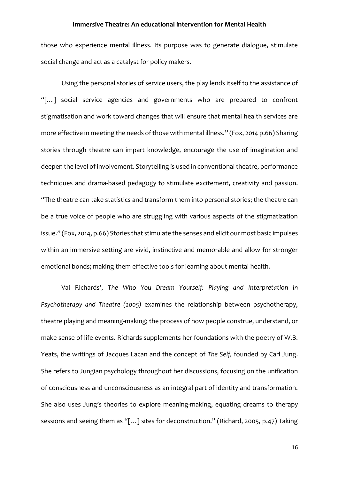those who experience mental illness. Its purpose was to generate dialogue, stimulate social change and act as a catalyst for policy makers.

Using the personal stories of service users, the play lends itself to the assistance of "[…] social service agencies and governments who are prepared to confront stigmatisation and work toward changes that will ensure that mental health services are more effective in meeting the needs of those with mental illness." (Fox, 2014 p.66) Sharing stories through theatre can impart knowledge, encourage the use of imagination and deepen the level of involvement. Storytelling is used in conventional theatre, performance techniques and drama-based pedagogy to stimulate excitement, creativity and passion. "The theatre can take statistics and transform them into personal stories; the theatre can be a true voice of people who are struggling with various aspects of the stigmatization issue." (Fox, 2014, p.66) Stories that stimulate the senses and elicit our most basic impulses within an immersive setting are vivid, instinctive and memorable and allow for stronger emotional bonds; making them effective tools for learning about mental health.

Val Richards', *The Who You Dream Yourself: Playing and Interpretation in Psychotherapy and Theatre (2005)* examines the relationship between psychotherapy, theatre playing and meaning-making; the process of how people construe, understand, or make sense of life events. Richards supplements her foundations with the poetry of W.B. Yeats, the writings of Jacques Lacan and the concept of *The Self,* founded by Carl Jung. She refers to Jungian psychology throughout her discussions, focusing on the unification of consciousness and unconsciousness as an integral part of identity and transformation. She also uses Jung's theories to explore meaning-making, equating dreams to therapy sessions and seeing them as "[…] sites for deconstruction." (Richard, 2005, p.47) Taking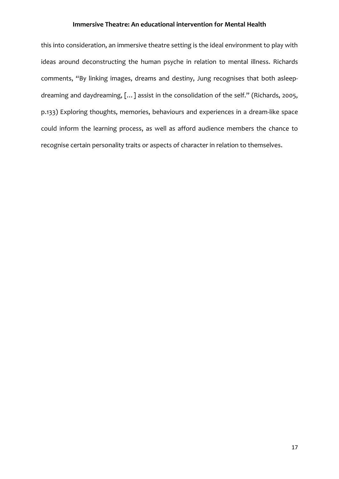this into consideration, an immersive theatre setting is the ideal environment to play with ideas around deconstructing the human psyche in relation to mental illness. Richards comments, "By linking images, dreams and destiny, Jung recognises that both asleepdreaming and daydreaming, […] assist in the consolidation of the self." (Richards, 2005, p.133) Exploring thoughts, memories, behaviours and experiences in a dream-like space could inform the learning process, as well as afford audience members the chance to recognise certain personality traits or aspects of character in relation to themselves.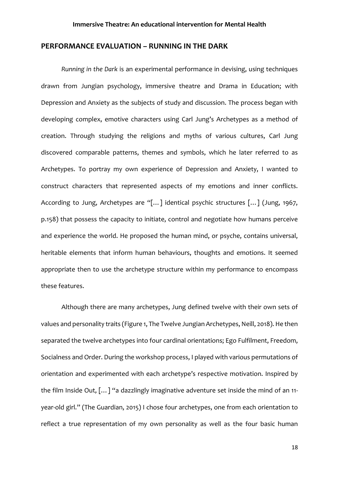## **PERFORMANCE EVALUATION – RUNNING IN THE DARK**

*Running in the Dark* is an experimental performance in devising, using techniques drawn from Jungian psychology, immersive theatre and Drama in Education; with Depression and Anxiety as the subjects of study and discussion. The process began with developing complex, emotive characters using Carl Jung's Archetypes as a method of creation. Through studying the religions and myths of various cultures, Carl Jung discovered comparable patterns, themes and symbols, which he later referred to as Archetypes. To portray my own experience of Depression and Anxiety, I wanted to construct characters that represented aspects of my emotions and inner conflicts. According to Jung, Archetypes are "[…] identical psychic structures […] (Jung, 1967, p.158) that possess the capacity to initiate, control and negotiate how humans perceive and experience the world. He proposed the human mind, or psyche, contains universal, heritable elements that inform human behaviours, thoughts and emotions. It seemed appropriate then to use the archetype structure within my performance to encompass these features.

Although there are many archetypes, Jung defined twelve with their own sets of values and personality traits (Figure 1, The Twelve Jungian Archetypes, Neill, 2018). He then separated the twelve archetypes into four cardinal orientations; Ego Fulfilment, Freedom, Socialness and Order. During the workshop process, I played with various permutations of orientation and experimented with each archetype's respective motivation. Inspired by the film Inside Out, [...] "a dazzlingly imaginative adventure set inside the mind of an 11year-old girl." (The Guardian, 2015) I chose four archetypes, one from each orientation to reflect a true representation of my own personality as well as the four basic human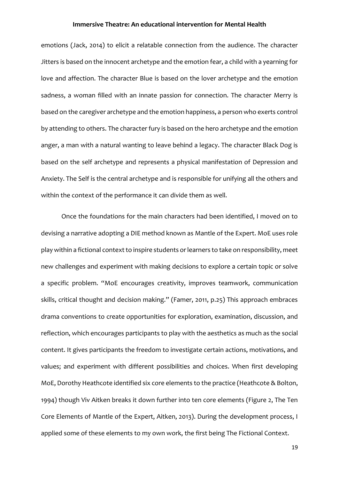emotions (Jack, 2014) to elicit a relatable connection from the audience. The character Jitters is based on the innocent archetype and the emotion fear, a child with a yearning for love and affection. The character Blue is based on the lover archetype and the emotion sadness, a woman filled with an innate passion for connection. The character Merry is based on the caregiver archetype and the emotion happiness, a person who exerts control by attending to others. The character fury is based on the hero archetype and the emotion anger, a man with a natural wanting to leave behind a legacy. The character Black Dog is based on the self archetype and represents a physical manifestation of Depression and Anxiety. The Self is the central archetype and is responsible for unifying all the others and within the context of the performance it can divide them as well.

Once the foundations for the main characters had been identified, I moved on to devising a narrative adopting a DIE method known as Mantle of the Expert. MoE uses role play within a fictional context to inspire students or learners to take on responsibility, meet new challenges and experiment with making decisions to explore a certain topic or solve a specific problem. "MoE encourages creativity, improves teamwork, communication skills, critical thought and decision making." (Famer, 2011, p.25) This approach embraces drama conventions to create opportunities for exploration, examination, discussion, and reflection, which encourages participants to play with the aesthetics as much as the social content. It gives participants the freedom to investigate certain actions, motivations, and values; and experiment with different possibilities and choices. When first developing MoE, Dorothy Heathcote identified six core elements to the practice (Heathcote & Bolton, 1994) though Viv Aitken breaks it down further into ten core elements (Figure 2, The Ten Core Elements of Mantle of the Expert, Aitken, 2013). During the development process, I applied some of these elements to my own work, the first being The Fictional Context.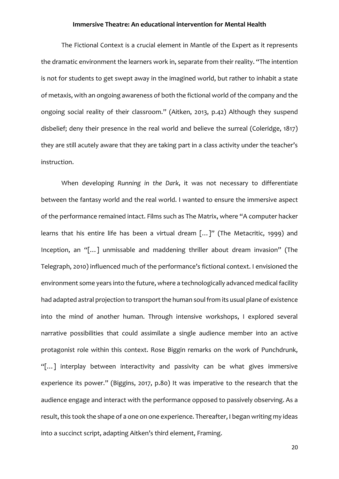The Fictional Context is a crucial element in Mantle of the Expert as it represents the dramatic environment the learners work in, separate from their reality. "The intention is not for students to get swept away in the imagined world, but rather to inhabit a state of metaxis, with an ongoing awareness of both the fictional world of the company and the ongoing social reality of their classroom." (Aitken, 2013, p.42) Although they suspend disbelief; deny their presence in the real world and believe the surreal (Coleridge, 1817) they are still acutely aware that they are taking part in a class activity under the teacher's instruction.

When developing *Running in the Dark*, it was not necessary to differentiate between the fantasy world and the real world. I wanted to ensure the immersive aspect of the performance remained intact. Films such as The Matrix, where "A computer hacker learns that his entire life has been a virtual dream [...]" (The Metacritic, 1999) and Inception, an "[…] unmissable and maddening thriller about dream invasion" (The Telegraph, 2010) influenced much of the performance's fictional context. I envisioned the environment some years into the future, where a technologically advanced medical facility had adapted astral projection to transport the human soul from its usual plane of existence into the mind of another human. Through intensive workshops, I explored several narrative possibilities that could assimilate a single audience member into an active protagonist role within this context. Rose Biggin remarks on the work of Punchdrunk, "[…] interplay between interactivity and passivity can be what gives immersive experience its power." (Biggins, 2017, p.80) It was imperative to the research that the audience engage and interact with the performance opposed to passively observing. As a result, this took the shape of a one on one experience. Thereafter, I began writing my ideas into a succinct script, adapting Aitken's third element, Framing.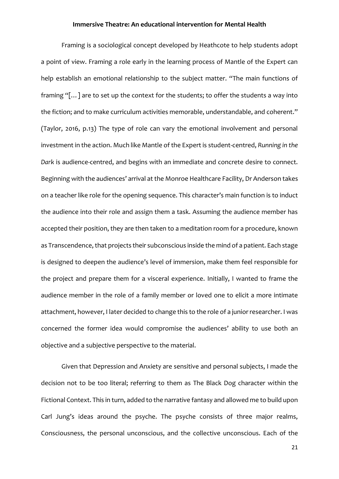Framing is a sociological concept developed by Heathcote to help students adopt a point of view. Framing a role early in the learning process of Mantle of the Expert can help establish an emotional relationship to the subject matter. "The main functions of framing "[…] are to set up the context for the students; to offer the students a way into the fiction; and to make curriculum activities memorable, understandable, and coherent." (Taylor, 2016, p.13) The type of role can vary the emotional involvement and personal investment in the action. Much like Mantle of the Expert is student-centred, *Running in the Dark* is audience-centred, and begins with an immediate and concrete desire to connect. Beginning with the audiences' arrival at the Monroe Healthcare Facility, Dr Anderson takes on a teacher like role for the opening sequence. This character's main function is to induct the audience into their role and assign them a task. Assuming the audience member has accepted their position, they are then taken to a meditation room for a procedure, known as Transcendence, that projects their subconscious inside the mind of a patient. Each stage is designed to deepen the audience's level of immersion, make them feel responsible for the project and prepare them for a visceral experience. Initially, I wanted to frame the audience member in the role of a family member or loved one to elicit a more intimate attachment, however, I later decided to change this to the role of a junior researcher. I was concerned the former idea would compromise the audiences' ability to use both an objective and a subjective perspective to the material.

Given that Depression and Anxiety are sensitive and personal subjects, I made the decision not to be too literal; referring to them as The Black Dog character within the Fictional Context. This in turn, added to the narrative fantasy and allowed me to build upon Carl Jung's ideas around the psyche. The psyche consists of three major realms, Consciousness, the personal unconscious, and the collective unconscious. Each of the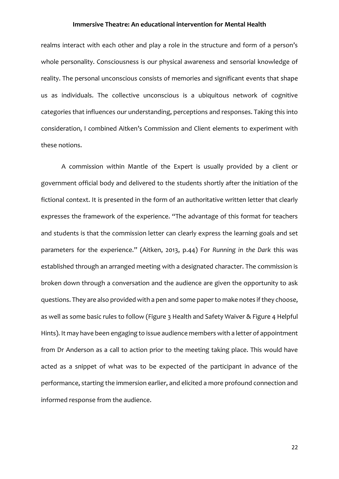realms interact with each other and play a role in the structure and form of a person's whole personality. Consciousness is our physical awareness and sensorial knowledge of reality. The personal unconscious consists of memories and significant events that shape us as individuals. The collective unconscious is a ubiquitous network of cognitive categories that influences our understanding, perceptions and responses. Taking this into consideration, I combined Aitken's Commission and Client elements to experiment with these notions.

A commission within Mantle of the Expert is usually provided by a client or government official body and delivered to the students shortly after the initiation of the fictional context. It is presented in the form of an authoritative written letter that clearly expresses the framework of the experience. "The advantage of this format for teachers and students is that the commission letter can clearly express the learning goals and set parameters for the experience." (Aitken, 2013, p.44) For *Running in the Dark* this was established through an arranged meeting with a designated character. The commission is broken down through a conversation and the audience are given the opportunity to ask questions. They are also provided with a pen and some paper to make notes if they choose, as well as some basic rules to follow (Figure 3 Health and Safety Waiver & Figure 4 Helpful Hints). It may have been engaging to issue audience members with a letter of appointment from Dr Anderson as a call to action prior to the meeting taking place. This would have acted as a snippet of what was to be expected of the participant in advance of the performance, starting the immersion earlier, and elicited a more profound connection and informed response from the audience.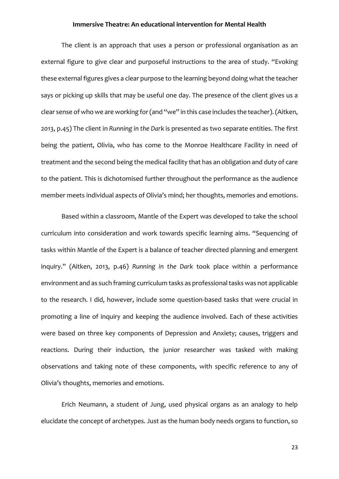The client is an approach that uses a person or professional organisation as an external figure to give clear and purposeful instructions to the area of study. "Evoking these external figures gives a clear purpose to the learning beyond doing what the teacher says or picking up skills that may be useful one day. The presence of the client gives us a clear sense of who we are working for (and "we" in this case includes the teacher). (Aitken, 2013, p.45) The client in *Running in the Dark* is presented as two separate entities. The first being the patient, Olivia, who has come to the Monroe Healthcare Facility in need of treatment and the second being the medical facility that has an obligation and duty of care to the patient. This is dichotomised further throughout the performance as the audience member meets individual aspects of Olivia's mind; her thoughts, memories and emotions.

Based within a classroom, Mantle of the Expert was developed to take the school curriculum into consideration and work towards specific learning aims. "Sequencing of tasks within Mantle of the Expert is a balance of teacher directed planning and emergent inquiry." (Aitken, 2013, p.46) *Running in the Dark* took place within a performance environment and as such framing curriculum tasks as professional tasks was not applicable to the research. I did, however, include some question-based tasks that were crucial in promoting a line of inquiry and keeping the audience involved. Each of these activities were based on three key components of Depression and Anxiety; causes, triggers and reactions. During their induction, the junior researcher was tasked with making observations and taking note of these components, with specific reference to any of Olivia's thoughts, memories and emotions.

Erich Neumann, a student of Jung, used physical organs as an analogy to help elucidate the concept of archetypes. Just as the human body needs organs to function, so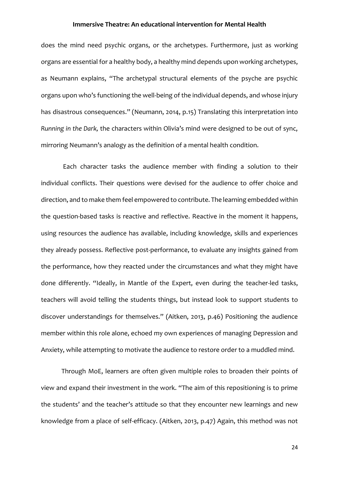does the mind need psychic organs, or the archetypes. Furthermore, just as working organs are essential for a healthy body, a healthy mind depends upon working archetypes, as Neumann explains, "The archetypal structural elements of the psyche are psychic organs upon who's functioning the well-being of the individual depends, and whose injury has disastrous consequences." (Neumann, 2014, p.15) Translating this interpretation into *Running in the Dark,* the characters within Olivia's mind were designed to be out of sync, mirroring Neumann's analogy as the definition of a mental health condition.

Each character tasks the audience member with finding a solution to their individual conflicts. Their questions were devised for the audience to offer choice and direction, and to make them feel empowered to contribute. The learning embedded within the question-based tasks is reactive and reflective. Reactive in the moment it happens, using resources the audience has available, including knowledge, skills and experiences they already possess. Reflective post-performance, to evaluate any insights gained from the performance, how they reacted under the circumstances and what they might have done differently. "Ideally, in Mantle of the Expert, even during the teacher-led tasks, teachers will avoid telling the students things, but instead look to support students to discover understandings for themselves." (Aitken, 2013, p.46) Positioning the audience member within this role alone, echoed my own experiences of managing Depression and Anxiety, while attempting to motivate the audience to restore order to a muddled mind.

Through MoE, learners are often given multiple roles to broaden their points of view and expand their investment in the work. "The aim of this repositioning is to prime the students' and the teacher's attitude so that they encounter new learnings and new knowledge from a place of self-efficacy. (Aitken, 2013, p.47) Again, this method was not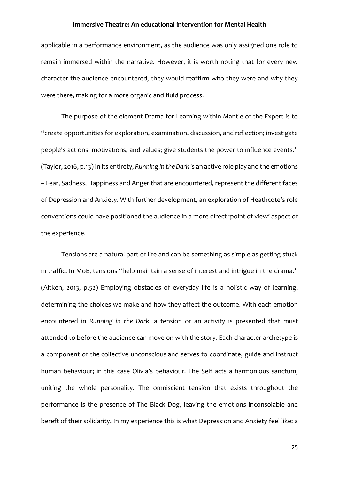applicable in a performance environment, as the audience was only assigned one role to remain immersed within the narrative. However, it is worth noting that for every new character the audience encountered, they would reaffirm who they were and why they were there, making for a more organic and fluid process.

The purpose of the element Drama for Learning within Mantle of the Expert is to "create opportunities for exploration, examination, discussion, and reflection; investigate people's actions, motivations, and values; give students the power to influence events." (Taylor, 2016, p.13) In its entirety, *Running in the Dark* is an active role play and the emotions – Fear, Sadness, Happiness and Anger that are encountered, represent the different faces of Depression and Anxiety. With further development, an exploration of Heathcote's role conventions could have positioned the audience in a more direct 'point of view' aspect of the experience.

Tensions are a natural part of life and can be something as simple as getting stuck in traffic. In MoE, tensions "help maintain a sense of interest and intrigue in the drama." (Aitken, 2013, p.52) Employing obstacles of everyday life is a holistic way of learning, determining the choices we make and how they affect the outcome. With each emotion encountered in *Running in the Dark*, a tension or an activity is presented that must attended to before the audience can move on with the story. Each character archetype is a component of the collective unconscious and serves to coordinate, guide and instruct human behaviour; in this case Olivia's behaviour. The Self acts a harmonious sanctum, uniting the whole personality. The omniscient tension that exists throughout the performance is the presence of The Black Dog, leaving the emotions inconsolable and bereft of their solidarity. In my experience this is what Depression and Anxiety feel like; a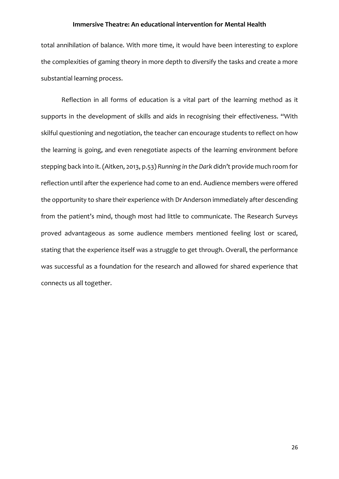total annihilation of balance. With more time, it would have been interesting to explore the complexities of gaming theory in more depth to diversify the tasks and create a more substantial learning process.

Reflection in all forms of education is a vital part of the learning method as it supports in the development of skills and aids in recognising their effectiveness. "With skilful questioning and negotiation, the teacher can encourage students to reflect on how the learning is going, and even renegotiate aspects of the learning environment before stepping back into it. (Aitken, 2013, p.53) *Running in the Dark* didn't provide much room for reflection until after the experience had come to an end. Audience members were offered the opportunity to share their experience with Dr Anderson immediately after descending from the patient's mind, though most had little to communicate. The Research Surveys proved advantageous as some audience members mentioned feeling lost or scared, stating that the experience itself was a struggle to get through. Overall, the performance was successful as a foundation for the research and allowed for shared experience that connects us all together.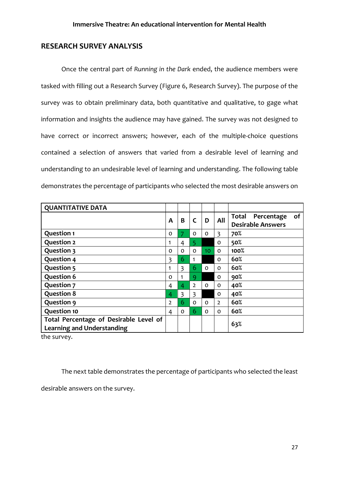# **RESEARCH SURVEY ANALYSIS**

Once the central part of *Running in the Dark* ended, the audience members were tasked with filling out a Research Survey (Figure 6, Research Survey). The purpose of the survey was to obtain preliminary data, both quantitative and qualitative, to gage what information and insights the audience may have gained. The survey was not designed to have correct or incorrect answers; however, each of the multiple-choice questions contained a selection of answers that varied from a desirable level of learning and understanding to an undesirable level of learning and understanding. The following table demonstrates the percentage of participants who selected the most desirable answers on

| <b>QUANTITATIVE DATA</b>                                                    |                |          |                |                 |                |                                                       |
|-----------------------------------------------------------------------------|----------------|----------|----------------|-----------------|----------------|-------------------------------------------------------|
|                                                                             | A              | B        | $\mathsf{C}$   | D               | All            | Total<br>Percentage<br>οf<br><b>Desirable Answers</b> |
| <b>Question 1</b>                                                           | 0              | 7        | 0              | 0               | $\overline{3}$ | 70%                                                   |
| <b>Question 2</b>                                                           | 1              | 4        | 5              |                 | 0              | 50%                                                   |
| Question 3                                                                  | 0              | $\Omega$ | $\Omega$       | 10 <sup>1</sup> | $\Omega$       | 100%                                                  |
| <b>Question 4</b>                                                           | 3              | 6        | -1             |                 | $\Omega$       | 60%                                                   |
| <b>Question 5</b>                                                           | 1              | 3        | 6              | $\Omega$        | 0              | 60%                                                   |
| <b>Question 6</b>                                                           | 0              | 1        | 9              |                 | 0              | 90%                                                   |
| <b>Question 7</b>                                                           | 4              | 4        | $\overline{2}$ | 0               | 0              | 40%                                                   |
| <b>Question 8</b>                                                           | 4              | 3        | 3              |                 | 0              | 40%                                                   |
| Question 9                                                                  | $\overline{2}$ | 6        | $\Omega$       | $\Omega$        | $\overline{2}$ | 60%                                                   |
| <b>Question 10</b>                                                          | 4              | $\Omega$ | 6              | $\Omega$        | 0              | 60%                                                   |
| Total Percentage of Desirable Level of<br><b>Learning and Understanding</b> |                |          |                |                 |                | 63%                                                   |

the survey.

The next table demonstrates the percentage of participants who selected the least

desirable answers on the survey.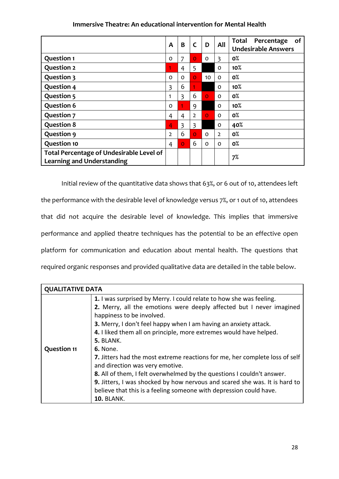|                                                                               | $\mathsf{A}$   | B                       | C              | D        | All            | of<br><b>Total</b><br>Percentage<br><b>Undesirable Answers</b> |
|-------------------------------------------------------------------------------|----------------|-------------------------|----------------|----------|----------------|----------------------------------------------------------------|
| <b>Question 1</b>                                                             | 0              | 7                       | $\overline{O}$ | $\Omega$ | 3              | 0%                                                             |
| <b>Question 2</b>                                                             | 1              | 4                       | 5              |          | $\Omega$       | 10%                                                            |
| <b>Question 3</b>                                                             | $\Omega$       | $\Omega$                | $\overline{O}$ | 10       | $\Omega$       | 0%                                                             |
| <b>Question 4</b>                                                             | 3              | 6                       | 1              |          | $\Omega$       | 10%                                                            |
| <b>Question 5</b>                                                             | 1              | $\overline{\mathbf{3}}$ | 6              | $\Omega$ | $\Omega$       | 0%                                                             |
| <b>Question 6</b>                                                             | $\Omega$       |                         | 9              |          | $\Omega$       | 10%                                                            |
| <b>Question 7</b>                                                             | 4              | $\overline{4}$          | $\overline{2}$ | $\Omega$ | $\Omega$       | <b>0%</b>                                                      |
| <b>Question 8</b>                                                             | 4              | 3                       | 3              |          | $\Omega$       | 40%                                                            |
| <b>Question 9</b>                                                             | $\overline{2}$ | 6                       | $\overline{O}$ | 0        | $\overline{2}$ | 0%                                                             |
| <b>Question 10</b>                                                            | 4              | $\overline{O}$          | 6              | $\Omega$ | $\Omega$       | <b>0%</b>                                                      |
| Total Percentage of Undesirable Level of<br><b>Learning and Understanding</b> |                |                         |                |          |                | 7%                                                             |

Initial review of the quantitative data shows that 63%, or 6 out of 10, attendees left the performance with the desirable level of knowledge versus 7%, or 1 out of 10, attendees that did not acquire the desirable level of knowledge. This implies that immersive performance and applied theatre techniques has the potential to be an effective open platform for communication and education about mental health. The questions that required organic responses and provided qualitative data are detailed in the table below.

| <b>QUALITATIVE DATA</b> |                                                                                                                                             |  |  |  |  |  |
|-------------------------|---------------------------------------------------------------------------------------------------------------------------------------------|--|--|--|--|--|
|                         | 1. I was surprised by Merry. I could relate to how she was feeling.<br>2. Merry, all the emotions were deeply affected but I never imagined |  |  |  |  |  |
|                         |                                                                                                                                             |  |  |  |  |  |
|                         | happiness to be involved.                                                                                                                   |  |  |  |  |  |
|                         | 3. Merry, I don't feel happy when I am having an anxiety attack.                                                                            |  |  |  |  |  |
|                         | 4. I liked them all on principle, more extremes would have helped.                                                                          |  |  |  |  |  |
|                         | 5. BLANK.                                                                                                                                   |  |  |  |  |  |
| <b>Question 11</b>      | <b>6.</b> None.                                                                                                                             |  |  |  |  |  |
|                         | 7. Jitters had the most extreme reactions for me, her complete loss of self                                                                 |  |  |  |  |  |
|                         | and direction was very emotive.                                                                                                             |  |  |  |  |  |
|                         | 8. All of them, I felt overwhelmed by the questions I couldn't answer.                                                                      |  |  |  |  |  |
|                         | 9. Jitters, I was shocked by how nervous and scared she was. It is hard to                                                                  |  |  |  |  |  |
|                         | believe that this is a feeling someone with depression could have.                                                                          |  |  |  |  |  |
|                         | <b>10. BLANK.</b>                                                                                                                           |  |  |  |  |  |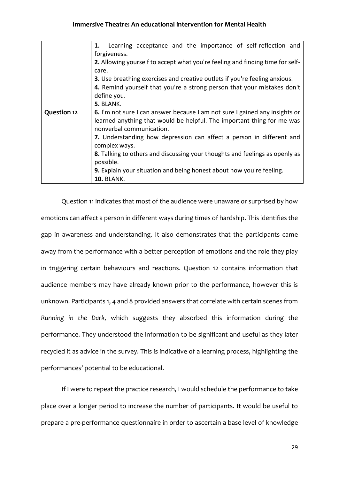|                    | Learning acceptance and the importance of self-reflection and<br>1.                                                                                                                                                                                                            |  |  |  |  |  |
|--------------------|--------------------------------------------------------------------------------------------------------------------------------------------------------------------------------------------------------------------------------------------------------------------------------|--|--|--|--|--|
|                    | forgiveness.<br>2. Allowing yourself to accept what you're feeling and finding time for self-<br>care.<br>3. Use breathing exercises and creative outlets if you're feeling anxious.<br>4. Remind yourself that you're a strong person that your mistakes don't<br>define you. |  |  |  |  |  |
| <b>Question 12</b> | 5. BLANK.                                                                                                                                                                                                                                                                      |  |  |  |  |  |
|                    | 6. I'm not sure I can answer because I am not sure I gained any insights or<br>learned anything that would be helpful. The important thing for me was<br>nonverbal communication.                                                                                              |  |  |  |  |  |
|                    | 7. Understanding how depression can affect a person in different and<br>complex ways.                                                                                                                                                                                          |  |  |  |  |  |
|                    | 8. Talking to others and discussing your thoughts and feelings as openly as<br>possible.                                                                                                                                                                                       |  |  |  |  |  |
|                    | 9. Explain your situation and being honest about how you're feeling.<br><b>10. BLANK.</b>                                                                                                                                                                                      |  |  |  |  |  |

Question 11 indicates that most of the audience were unaware or surprised by how emotions can affect a person in different ways during times of hardship. This identifies the gap in awareness and understanding. It also demonstrates that the participants came away from the performance with a better perception of emotions and the role they play in triggering certain behaviours and reactions. Question 12 contains information that audience members may have already known prior to the performance, however this is unknown. Participants 1, 4 and 8 provided answers that correlate with certain scenes from *Running in the Dark,* which suggests they absorbed this information during the performance. They understood the information to be significant and useful as they later recycled it as advice in the survey. This is indicative of a learning process, highlighting the performances' potential to be educational.

If I were to repeat the practice research, I would schedule the performance to take place over a longer period to increase the number of participants. It would be useful to prepare a pre-performance questionnaire in order to ascertain a base level of knowledge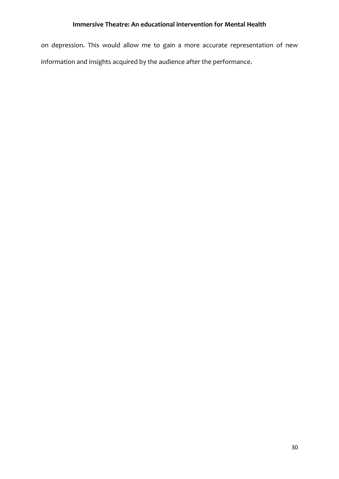on depression. This would allow me to gain a more accurate representation of new information and insights acquired by the audience after the performance.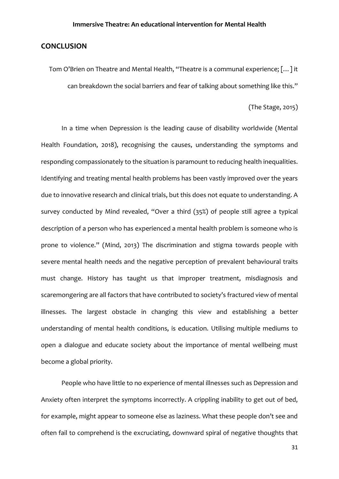# **CONCLUSION**

Tom O'Brien on Theatre and Mental Health, "Theatre is a communal experience; […] it can breakdown the social barriers and fear of talking about something like this."

(The Stage, 2015)

In a time when Depression is the leading cause of disability worldwide (Mental Health Foundation, 2018), recognising the causes, understanding the symptoms and responding compassionately to the situation is paramount to reducing health inequalities. Identifying and treating mental health problems has been vastly improved over the years due to innovative research and clinical trials, but this does not equate to understanding. A survey conducted by Mind revealed, "Over a third (35%) of people still agree a typical description of a person who has experienced a mental health problem is someone who is prone to violence." (Mind, 2013) The discrimination and stigma towards people with severe mental health needs and the negative perception of prevalent behavioural traits must change. History has taught us that improper treatment, misdiagnosis and scaremongering are all factors that have contributed to society's fractured view of mental illnesses. The largest obstacle in changing this view and establishing a better understanding of mental health conditions, is education. Utilising multiple mediums to open a dialogue and educate society about the importance of mental wellbeing must become a global priority.

People who have little to no experience of mental illnesses such as Depression and Anxiety often interpret the symptoms incorrectly. A crippling inability to get out of bed, for example, might appear to someone else as laziness. What these people don't see and often fail to comprehend is the excruciating, downward spiral of negative thoughts that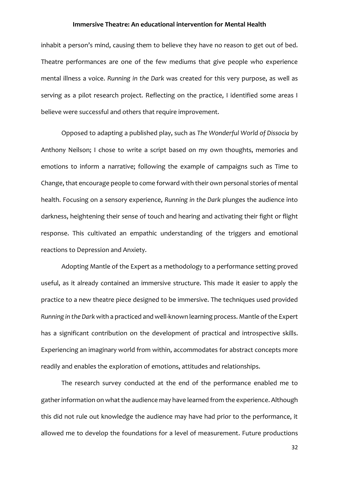inhabit a person's mind, causing them to believe they have no reason to get out of bed. Theatre performances are one of the few mediums that give people who experience mental illness a voice. *Running in the Dark* was created for this very purpose, as well as serving as a pilot research project. Reflecting on the practice, I identified some areas I believe were successful and others that require improvement.

Opposed to adapting a published play, such as *The Wonderful World of Dissocia* by Anthony Neilson; I chose to write a script based on my own thoughts, memories and emotions to inform a narrative; following the example of campaigns such as Time to Change, that encourage people to come forward with their own personal stories of mental health. Focusing on a sensory experience, *Running in the Dark* plunges the audience into darkness, heightening their sense of touch and hearing and activating their fight or flight response. This cultivated an empathic understanding of the triggers and emotional reactions to Depression and Anxiety.

Adopting Mantle of the Expert as a methodology to a performance setting proved useful, as it already contained an immersive structure. This made it easier to apply the practice to a new theatre piece designed to be immersive. The techniques used provided *Running in the Dark* with a practiced and well-known learning process. Mantle of the Expert has a significant contribution on the development of practical and introspective skills. Experiencing an imaginary world from within, accommodates for abstract concepts more readily and enables the exploration of emotions, attitudes and relationships.

The research survey conducted at the end of the performance enabled me to gather information on what the audience may have learned from the experience. Although this did not rule out knowledge the audience may have had prior to the performance, it allowed me to develop the foundations for a level of measurement. Future productions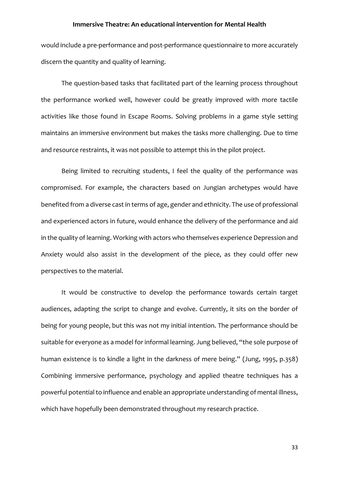would include a pre-performance and post-performance questionnaire to more accurately discern the quantity and quality of learning.

The question-based tasks that facilitated part of the learning process throughout the performance worked well, however could be greatly improved with more tactile activities like those found in Escape Rooms. Solving problems in a game style setting maintains an immersive environment but makes the tasks more challenging. Due to time and resource restraints, it was not possible to attempt this in the pilot project.

Being limited to recruiting students, I feel the quality of the performance was compromised. For example, the characters based on Jungian archetypes would have benefited from a diverse cast in terms of age, gender and ethnicity. The use of professional and experienced actors in future, would enhance the delivery of the performance and aid in the quality of learning. Working with actors who themselves experience Depression and Anxiety would also assist in the development of the piece, as they could offer new perspectives to the material.

It would be constructive to develop the performance towards certain target audiences, adapting the script to change and evolve. Currently, it sits on the border of being for young people, but this was not my initial intention. The performance should be suitable for everyone as a model for informal learning. Jung believed, "the sole purpose of human existence is to kindle a light in the darkness of mere being." (Jung, 1995, p.358) Combining immersive performance, psychology and applied theatre techniques has a powerful potential to influence and enable an appropriate understanding of mental illness, which have hopefully been demonstrated throughout my research practice.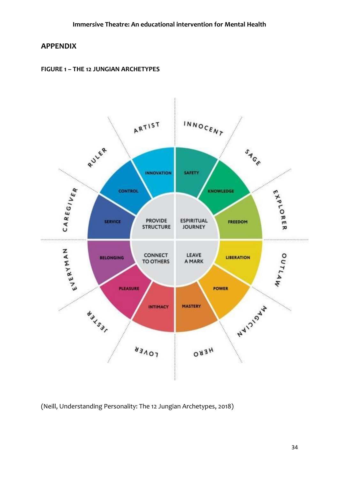# **APPENDIX**





(Neill, Understanding Personality: The 12 Jungian Archetypes, 2018)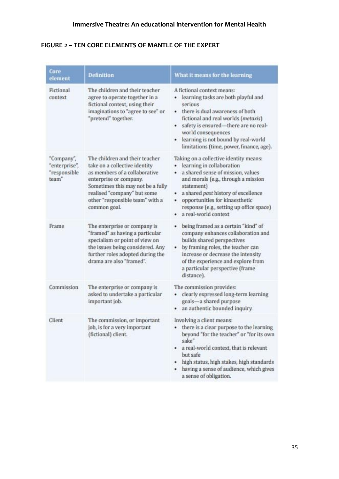# **FIGURE 2 – TEN CORE ELEMENTS OF MANTLE OF THE EXPERT**

| Core<br>element                                      | <b>Definition</b>                                                                                                                                                                                                                                 | What it means for the learning                                                                                                                                                                                                                                                                                                 |
|------------------------------------------------------|---------------------------------------------------------------------------------------------------------------------------------------------------------------------------------------------------------------------------------------------------|--------------------------------------------------------------------------------------------------------------------------------------------------------------------------------------------------------------------------------------------------------------------------------------------------------------------------------|
| Fictional<br>context                                 | The children and their teacher<br>agree to operate together in a<br>fictional context, using their<br>imaginations to "agree to see" or<br>"pretend" together.                                                                                    | A fictional context means:<br>• learning tasks are both playful and<br>serious<br>there is dual awareness of both<br>fictional and real worlds (metaxis)<br>safety is ensured-there are no real-<br>٠<br>world consequences<br>learning is not bound by real-world<br>limitations (time, power, finance, age).                 |
| "Company",<br>"enterprise",<br>"responsible<br>team" | The children and their teacher<br>take on a collective identity<br>as members of a collaborative<br>enterprise or company.<br>Sometimes this may not be a fully<br>realised "company" but some<br>other "responsible team" with a<br>common goal. | Taking on a collective identity means:<br>learning in collaboration<br>٠<br>a shared sense of mission, values<br>٠<br>and morals (e.g., through a mission<br>statement)<br>a shared past history of excellence<br>٠<br>opportunities for kinaesthetic<br>٠<br>response (e.g., setting up office space)<br>a real-world context |
| Frame                                                | The enterprise or company is<br>"framed" as having a particular<br>specialism or point of view on<br>the issues being considered. Any<br>further roles adopted during the<br>drama are also "framed".                                             | being framed as a certain "kind" of<br>٠<br>company enhances collaboration and<br>builds shared perspectives<br>by framing roles, the teacher can<br>increase or decrease the intensity<br>of the experience and explore from<br>a particular perspective (frame<br>distance).                                                 |
| Commission                                           | The enterprise or company is<br>asked to undertake a particular<br>important job.                                                                                                                                                                 | The commission provides:<br>clearly expressed long-term learning<br>۰<br>goals-a shared purpose<br>· an authentic bounded inquiry.                                                                                                                                                                                             |
| Client                                               | The commission, or important<br>job, is for a very important<br>(fictional) client.                                                                                                                                                               | Involving a client means:<br>there is a clear purpose to the learning<br>٠<br>beyond "for the teacher" or "for its own<br>sake"<br>a real-world context, that is relevant<br>$\bullet$<br>but safe<br>high status, high stakes, high standards<br>٠<br>having a sense of audience, which gives<br>٠<br>a sense of obligation.  |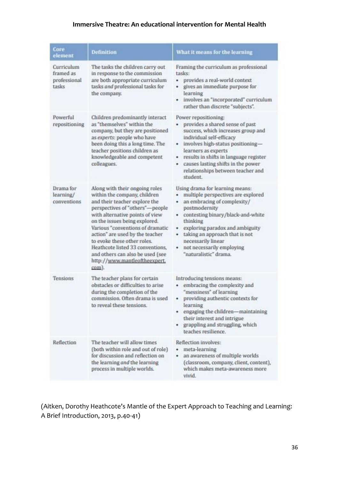| <b>Core</b><br>element                           | <b>Definition</b>                                                                                                                                                                                                                                                                                                                                                                                                              | What it means for the learning                                                                                                                                                                                                                                                                                                         |
|--------------------------------------------------|--------------------------------------------------------------------------------------------------------------------------------------------------------------------------------------------------------------------------------------------------------------------------------------------------------------------------------------------------------------------------------------------------------------------------------|----------------------------------------------------------------------------------------------------------------------------------------------------------------------------------------------------------------------------------------------------------------------------------------------------------------------------------------|
| Curriculum<br>framed as<br>professional<br>tasks | The tasks the children carry out<br>in response to the commission<br>are both appropriate curriculum<br>tasks and professional tasks for<br>the company.                                                                                                                                                                                                                                                                       | Framing the curriculum as professional<br>tasks:<br>· provides a real-world context<br>gives an immediate purpose for<br>learning<br>· involves an "incorporated" curriculum<br>rather than discrete "subjects".                                                                                                                       |
| Powerful<br>repositioning                        | Children predominantly interact<br>as "themselves" within the<br>company, but they are positioned<br>as experts: people who have<br>been doing this a long time. The<br>teacher positions children as<br>knowledgeable and competent<br>colleagues.                                                                                                                                                                            | Power repositioning:<br>provides a shared sense of past<br>success, which increases group and<br>individual self-efficacy<br>· involves high-status positioning-<br>learners as experts<br>• results in shifts in language register<br>causes lasting shifts in the power<br>relationships between teacher and<br>student              |
| Drama for<br>learning/<br>conventions            | Along with their ongoing roles<br>within the company, children<br>and their teacher explore the<br>perspectives of "others"-people<br>with alternative points of view<br>on the issues being explored.<br>Various "conventions of dramatic<br>action" are used by the teacher<br>to evoke these other roles.<br>Heathcote listed 33 conventions,<br>and others can also be used (see<br>http://www.mantleoftheexpert.<br>com). | Using drama for learning means:<br>multiple perspectives are explored<br>٠<br>an embracing of complexity/<br>postmodernity<br>contesting binary/black-and-white<br>thinking<br>exploring paradox and ambiguity<br>٠<br>taking an approach that is not<br>٠<br>necessarily linear<br>not necessarily employing<br>"naturalistic" drama. |
| Tensions                                         | The teacher plans for certain<br>obstacles or difficulties to arise<br>during the completion of the<br>commission. Often drama is used<br>to reveal these tensions.                                                                                                                                                                                                                                                            | Introducing tensions means:<br>· embracing the complexity and<br>"messiness" of learning<br>providing authentic contexts for<br>٠<br>learning<br>· engaging the children-maintaining<br>their interest and intrigue<br>· grappling and struggling, which<br>teaches resilience.                                                        |
| Reflection                                       | The teacher will allow times<br>(both within role and out of role)<br>for discussion and reflection on<br>the learning and the learning<br>process in multiple worlds.                                                                                                                                                                                                                                                         | Reflection involves:<br>· meta-learning<br>an awareness of multiple worlds<br>٠<br>(classroom, company, client, content),<br>which makes meta-awareness more<br>vivid.                                                                                                                                                                 |

(Aitken, Dorothy Heathcote's Mantle of the Expert Approach to Teaching and Learning: A Brief Introduction, 2013, p.40-41)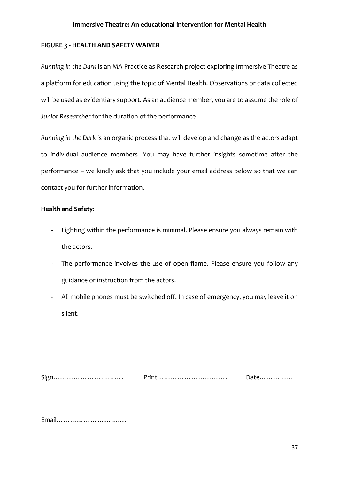## **FIGURE 3 - HEALTH AND SAFETY WAIVER**

*Running in the Dark* is an MA Practice as Research project exploring Immersive Theatre as a platform for education using the topic of Mental Health. Observations or data collected will be used as evidentiary support. As an audience member, you are to assume the role of *Junior Researcher* for the duration of the performance.

*Running in the Dark* is an organic process that will develop and change as the actors adapt to individual audience members. You may have further insights sometime after the performance – we kindly ask that you include your email address below so that we can contact you for further information.

# **Health and Safety:**

- Lighting within the performance is minimal. Please ensure you always remain with the actors.
- The performance involves the use of open flame. Please ensure you follow any guidance or instruction from the actors.
- All mobile phones must be switched off. In case of emergency, you may leave it on silent.

| $\sim$ | $1 - 1$ | Ddlt |
|--------|---------|------|
|        |         |      |

Email………………………….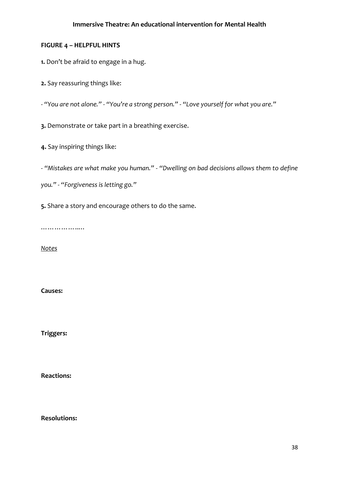# **FIGURE 4 – HELPFUL HINTS**

**1.** Don't be afraid to engage in a hug.

**2.** Say reassuring things like:

- *"You are not alone."* - *"You're a strong person."* - *"Love yourself for what you are."*

**3.** Demonstrate or take part in a breathing exercise.

**4.** Say inspiring things like:

- *"Mistakes are what make you human."* - *"Dwelling on bad decisions allows them to define* 

*you."* - *"Forgiveness is letting go."*

**5.** Share a story and encourage others to do the same.

…………………

*Notes*

**Causes:**

**Triggers:**

**Reactions:**

**Resolutions:**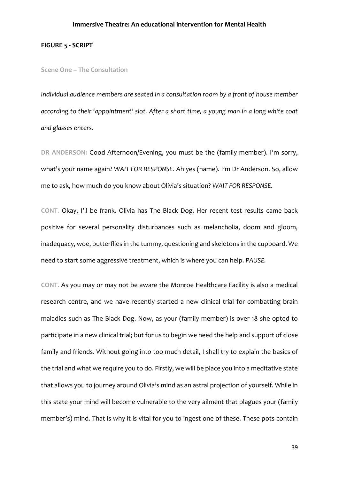## **FIGURE 5 - SCRIPT**

#### **Scene One – The Consultation**

*Individual audience members are seated in a consultation room by a front of house member according to their 'appointment' slot. After a short time, a young man in a long white coat and glasses enters.*

**DR ANDERSON:** Good Afternoon/Evening, you must be the (family member). I'm sorry, what's your name again? *WAIT FOR RESPONSE.* Ah yes (name). I'm Dr Anderson. So, allow me to ask, how much do you know about Olivia's situation? *WAIT FOR RESPONSE.* 

**CONT**. Okay, I'll be frank. Olivia has The Black Dog. Her recent test results came back positive for several personality disturbances such as melancholia, doom and gloom, inadequacy, woe, butterflies in the tummy, questioning and skeletons in the cupboard. We need to start some aggressive treatment, which is where you can help. *PAUSE.*

**CONT**. As you may or may not be aware the Monroe Healthcare Facility is also a medical research centre, and we have recently started a new clinical trial for combatting brain maladies such as The Black Dog. Now, as your (family member) is over 18 she opted to participate in a new clinical trial; but for us to begin we need the help and support of close family and friends. Without going into too much detail, I shall try to explain the basics of the trial and what we require you to do. Firstly, we will be place you into a meditative state that allows you to journey around Olivia's mind as an astral projection of yourself. While in this state your mind will become vulnerable to the very ailment that plagues your (family member's) mind. That is why it is vital for you to ingest one of these. These pots contain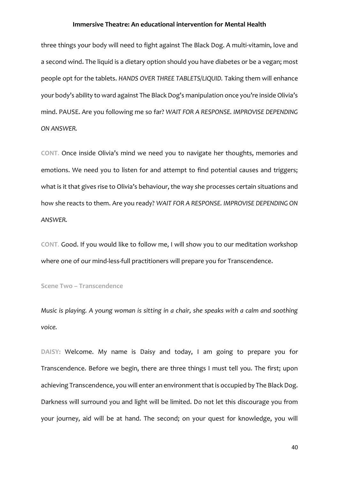three things your body will need to fight against The Black Dog. A multi-vitamin, love and a second wind. The liquid is a dietary option should you have diabetes or be a vegan; most people opt for the tablets. *HANDS OVER THREE TABLETS/LIQUID.* Taking them will enhance your body's ability to ward against The Black Dog's manipulation once you're inside Olivia's mind. PAUSE. Are you following me so far? *WAIT FOR A RESPONSE. IMPROVISE DEPENDING ON ANSWER.*

**CONT**. Once inside Olivia's mind we need you to navigate her thoughts, memories and emotions. We need you to listen for and attempt to find potential causes and triggers; what is it that gives rise to Olivia's behaviour, the way she processes certain situations and how she reacts to them. Are you ready? *WAIT FOR A RESPONSE. IMPROVISE DEPENDING ON ANSWER.*

**CONT**. Good. If you would like to follow me, I will show you to our meditation workshop where one of our mind-less-full practitioners will prepare you for Transcendence.

**Scene Two – Transcendence** 

*Music is playing. A young woman is sitting in a chair, she speaks with a calm and soothing voice.*

**DAISY:** Welcome. My name is Daisy and today, I am going to prepare you for Transcendence. Before we begin, there are three things I must tell you. The first; upon achieving Transcendence, you will enter an environment that is occupied by The Black Dog. Darkness will surround you and light will be limited. Do not let this discourage you from your journey, aid will be at hand. The second; on your quest for knowledge, you will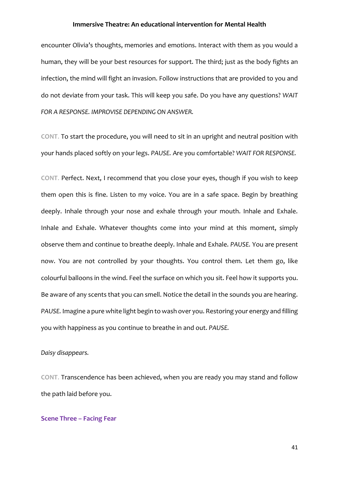encounter Olivia's thoughts, memories and emotions. Interact with them as you would a human, they will be your best resources for support. The third; just as the body fights an infection, the mind will fight an invasion. Follow instructions that are provided to you and do not deviate from your task. This will keep you safe. Do you have any questions? *WAIT FOR A RESPONSE. IMPROVISE DEPENDING ON ANSWER.*

**CONT**. To start the procedure, you will need to sit in an upright and neutral position with your hands placed softly on your legs. *PAUSE.* Are you comfortable? *WAIT FOR RESPONSE.*

**CONT**. Perfect. Next, I recommend that you close your eyes, though if you wish to keep them open this is fine. Listen to my voice. You are in a safe space. Begin by breathing deeply. Inhale through your nose and exhale through your mouth. Inhale and Exhale. Inhale and Exhale. Whatever thoughts come into your mind at this moment, simply observe them and continue to breathe deeply. Inhale and Exhale. *PAUSE.* You are present now. You are not controlled by your thoughts. You control them. Let them go, like colourful balloons in the wind. Feel the surface on which you sit. Feel how it supports you. Be aware of any scents that you can smell. Notice the detail in the sounds you are hearing. *PAUSE.* Imagine a pure white light begin to wash over you. Restoring your energy and filling you with happiness as you continue to breathe in and out. *PAUSE.*

# *Daisy disappears.*

**CONT**. Transcendence has been achieved, when you are ready you may stand and follow the path laid before you.

#### **Scene Three – Facing Fear**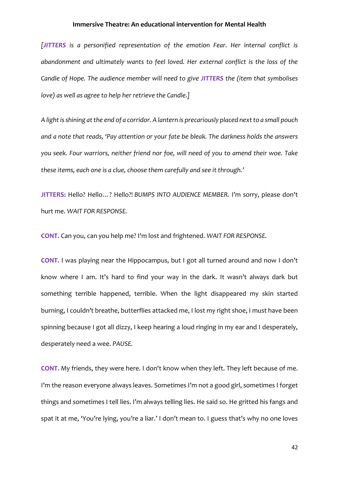*[JITTERS is a personified representation of the emotion Fear. Her internal conflict is abandonment and ultimately wants to feel loved. Her external conflict is the loss of the Candle of Hope. The audience member will need to give JITTERS the (item that symbolises love) as well as agree to help her retrieve the Candle.]*

*A light is shining at the end of a corridor. A lantern is precariously placed next to a small pouch and a note that reads, 'Pay attention or your fate be bleak. The darkness holds the answers you seek. Four warriors, neither friend nor foe, will need of you to amend their woe. Take these items, each one is a clue, choose them carefully and see it through.'*

**JITTERS:** Hello? Hello…? Hello?! *BUMPS INTO AUDIENCE MEMBER.* I'm sorry, please don't hurt me. *WAIT FOR RESPONSE.*

**CONT.** Can you, can you help me? I'm lost and frightened. *WAIT FOR RESPONSE.*

**CONT.** I was playing near the Hippocampus, but I got all turned around and now I don't know where I am. It's hard to find your way in the dark. It wasn't always dark but something terrible happened, terrible. When the light disappeared my skin started burning, I couldn't breathe, butterflies attacked me, I lost my right shoe, I must have been spinning because I got all dizzy, I keep hearing a loud ringing in my ear and I desperately, desperately need a wee. *PAUSE.*

**CONT.** My friends, they were here. I don't know when they left. They left because of me. I'm the reason everyone always leaves. Sometimes I'm not a good girl, sometimes I forget things and sometimes I tell lies. I'm always telling lies. He said so. He gritted his fangs and spat it at me, 'You're lying, you're a liar.' I don't mean to. I guess that's why no one loves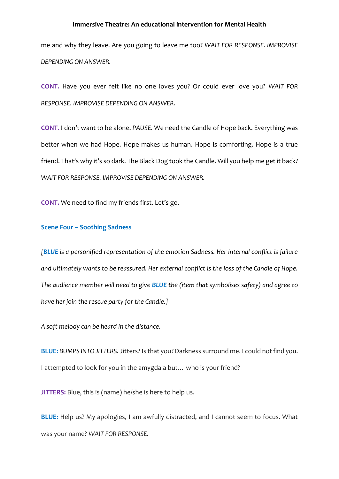me and why they leave. Are you going to leave me too? *WAIT FOR RESPONSE. IMPROVISE DEPENDING ON ANSWER.*

**CONT.** Have you ever felt like no one loves you? Or could ever love you? *WAIT FOR RESPONSE. IMPROVISE DEPENDING ON ANSWER.*

**CONT.** I don't want to be alone. *PAUSE.* We need the Candle of Hope back. Everything was better when we had Hope. Hope makes us human. Hope is comforting. Hope is a true friend. That's why it's so dark. The Black Dog took the Candle. Will you help me get it back? *WAIT FOR RESPONSE. IMPROVISE DEPENDING ON ANSWER.*

**CONT.** We need to find my friends first. Let's go.

## **Scene Four – Soothing Sadness**

*[BLUE is a personified representation of the emotion Sadness. Her internal conflict is failure and ultimately wants to be reassured. Her external conflict is the loss of the Candle of Hope. The audience member will need to give BLUE the (item that symbolises safety) and agree to have her join the rescue party for the Candle.]*

*A soft melody can be heard in the distance.*

**BLUE:** *BUMPS INTO JITTERS.* Jitters? Is that you? Darkness surround me. I could not find you. I attempted to look for you in the amygdala but… who is your friend?

**JITTERS:** Blue, this is (name) he/she is here to help us.

**BLUE:** Help us? My apologies, I am awfully distracted, and I cannot seem to focus. What was your name? *WAIT FOR RESPONSE.*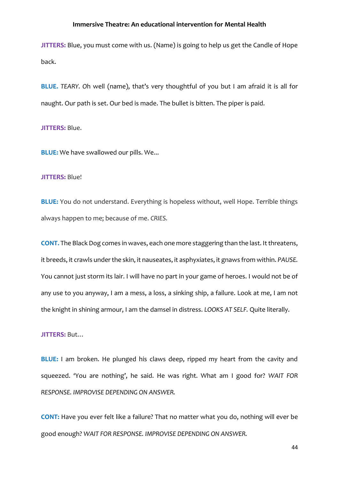**JITTERS:** Blue, you must come with us. (Name) is going to help us get the Candle of Hope back.

**BLUE.** *TEARY. O*h well (name), that's very thoughtful of you but I am afraid it is all for naught. Our path is set. Our bed is made. The bullet is bitten. The piper is paid.

**JITTERS:** Blue.

**BLUE:** We have swallowed our pills. We...

### **JITTERS:** Blue!

**BLUE:** You do not understand. Everything is hopeless without, well Hope. Terrible things always happen to me; because of me. *CRIES.* 

**CONT.** The Black Dog comes in waves, each one more staggering than the last. It threatens, it breeds, it crawls under the skin, it nauseates, it asphyxiates, it gnaws from within. *PAUSE.*  You cannot just storm its lair. I will have no part in your game of heroes. I would not be of any use to you anyway, I am a mess, a loss, a sinking ship, a failure. Look at me, I am not the knight in shining armour, I am the damsel in distress. *LOOKS AT SELF.* Quite literally.

## **JITTERS:** But…

**BLUE:** I am broken. He plunged his claws deep, ripped my heart from the cavity and squeezed. 'You are nothing', he said. He was right. What am I good for? *WAIT FOR RESPONSE. IMPROVISE DEPENDING ON ANSWER.*

**CONT:** Have you ever felt like a failure? That no matter what you do, nothing will ever be good enough? *WAIT FOR RESPONSE. IMPROVISE DEPENDING ON ANSWER.*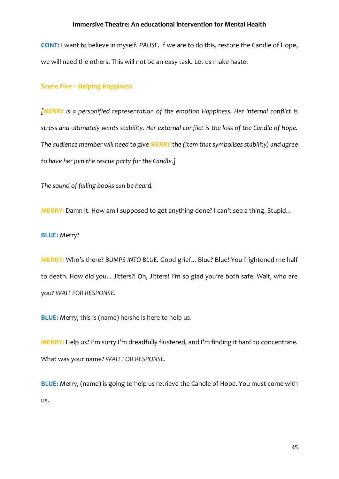**CONT:** I want to believe in myself. *PAUSE.* If we are to do this, restore the Candle of Hope, we will need the others. This will not be an easy task. Let us make haste.

## **Scene Five – Helping Happiness**

*[MERRY is a personified representation of the emotion Happiness. Her internal conflict is stress and ultimately wants stability. Her external conflict is the loss of the Candle of Hope. The audience member will need to give MERRY the (item that symbolises stability) and agree to have her join the rescue party for the Candle.]*

*The sound of falling books can be heard.*

**MERRY:** Damn it. How am I supposed to get anything done? I can't see a thing. Stupid…

## **BLUE:** Merry?

**MERRY:** Who's there? *BUMPS INTO BLUE.* Good grief... Blue? Blue! You frightened me half to death. How did you... Jitters?! Oh, Jitters! I'm so glad you're both safe. Wait, who are you? *WAIT FOR RESPONSE.*

**BLUE:** Merry, this is (name) he/she is here to help us.

**MERRY:** Help us? I'm sorry I'm dreadfully flustered, and I'm finding it hard to concentrate. What was your name? *WAIT FOR RESPONSE.*

**BLUE:** Merry, (name) is going to help us retrieve the Candle of Hope. You must come with us.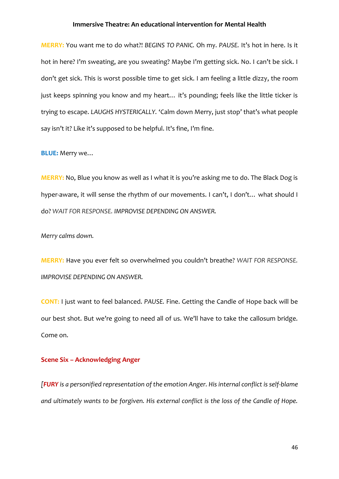**MERRY:** You want me to do what?! *BEGINS TO PANIC.* Oh my. *PAUSE.* It's hot in here. Is it hot in here? I'm sweating, are you sweating? Maybe I'm getting sick. No. I can't be sick. I don't get sick. This is worst possible time to get sick. I am feeling a little dizzy, the room just keeps spinning you know and my heart… it's pounding; feels like the little ticker is trying to escape. *LAUGHS HYSTERICALLY.* 'Calm down Merry, just stop' that's what people say isn't it? Like it's supposed to be helpful. It's fine, I'm fine.

**BLUE:** Merry we…

**MERRY:** No, Blue you know as well as I what it is you're asking me to do. The Black Dog is hyper-aware, it will sense the rhythm of our movements. I can't, I don't... what should I do? *WAIT FOR RESPONSE. IMPROVISE DEPENDING ON ANSWER.*

*Merry calms down.*

**MERRY:** Have you ever felt so overwhelmed you couldn't breathe? *WAIT FOR RESPONSE. IMPROVISE DEPENDING ON ANSWER.*

**CONT:** I just want to feel balanced. *PAUSE.* Fine. Getting the Candle of Hope back will be our best shot. But we're going to need all of us. We'll have to take the callosum bridge. Come on.

# **Scene Six – Acknowledging Anger**

*[FURY is a personified representation of the emotion Anger. His internal conflict is self-blame and ultimately wants to be forgiven. His external conflict is the loss of the Candle of Hope.*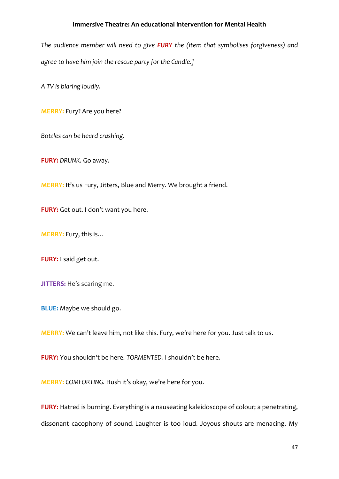*The audience member will need to give FURY the (item that symbolises forgiveness) and agree to have him join the rescue party for the Candle.]*

*A TV is blaring loudly.*

**MERRY:** Fury? Are you here?

*Bottles can be heard crashing.*

**FURY:** *DRUNK.* Go away.

**MERRY:** It's us Fury, Jitters, Blue and Merry. We brought a friend.

**FURY:** Get out. I don't want you here.

**MERRY:** Fury, this is…

**FURY:** I said get out.

**JITTERS:** He's scaring me.

**BLUE:** Maybe we should go.

**MERRY:** We can't leave him, not like this. Fury, we're here for you. Just talk to us.

**FURY:** You shouldn't be here. *TORMENTED.* I shouldn't be here.

**MERRY:** *COMFORTING.* Hush it's okay, we're here for you.

**FURY:** Hatred is burning. Everything is a nauseating kaleidoscope of colour; a penetrating, dissonant cacophony of sound. Laughter is too loud. Joyous shouts are menacing. My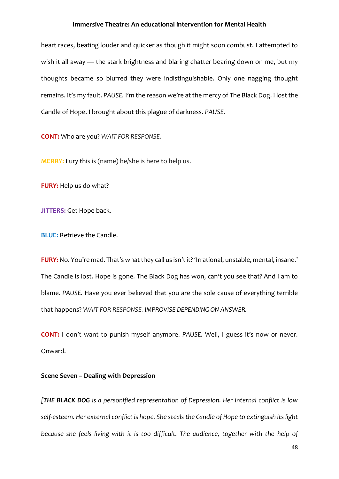heart races, beating louder and quicker as though it might soon combust. I attempted to wish it all away — the stark brightness and blaring chatter bearing down on me, but my thoughts became so blurred they were indistinguishable. Only one nagging thought remains. It's my fault. *PAUSE.* I'm the reason we're at the mercy of The Black Dog. I lost the Candle of Hope. I brought about this plague of darkness. *PAUSE.*

**CONT:** Who are you? *WAIT FOR RESPONSE.*

**MERRY:** Fury this is (name) he/she is here to help us.

**FURY:** Help us do what?

**JITTERS:** Get Hope back.

**BLUE:** Retrieve the Candle.

**FURY:** No. You're mad. That's what they call us isn't it? 'Irrational, unstable, mental, insane.' The Candle is lost. Hope is gone. The Black Dog has won, can't you see that? And I am to blame. *PAUSE.* Have you ever believed that you are the sole cause of everything terrible that happens? *WAIT FOR RESPONSE. IMPROVISE DEPENDING ON ANSWER.*

**CONT:** I don't want to punish myself anymore. *PAUSE.* Well, I guess it's now or never. Onward.

#### **Scene Seven – Dealing with Depression**

*[THE BLACK DOG is a personified representation of Depression. Her internal conflict is low self-esteem. Her external conflict is hope. She steals the Candle of Hope to extinguish its light*  because she feels living with it is too difficult. The audience, together with the help of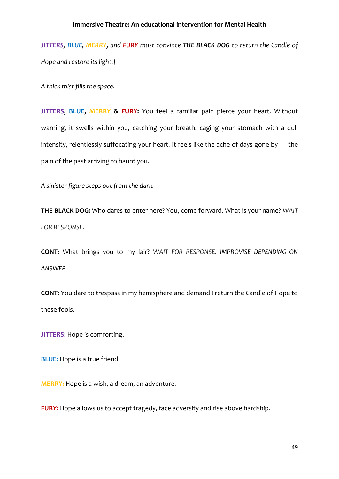*JITTERS, BLUE, MERRY, and FURY must convince THE BLACK DOG to return the Candle of Hope and restore its light.]*

*A thick mist fills the space.*

**JITTERS, BLUE, MERRY & FURY:** You feel a familiar pain pierce your heart. Without warning, it swells within you, catching your breath, caging your stomach with a dull intensity, relentlessly suffocating your heart. It feels like the ache of days gone by — the pain of the past arriving to haunt you.

*A sinister figure steps out from the dark.*

**THE BLACK DOG:** Who dares to enter here? You, come forward. What is your name? *WAIT FOR RESPONSE.*

**CONT:** What brings you to my lair? *WAIT FOR RESPONSE. IMPROVISE DEPENDING ON ANSWER.*

**CONT:** You dare to trespass in my hemisphere and demand I return the Candle of Hope to these fools.

**JITTERS:** Hope is comforting.

**BLUE:** Hope is a true friend.

**MERRY:** Hope is a wish, a dream, an adventure.

**FURY:** Hope allows us to accept tragedy, face adversity and rise above hardship.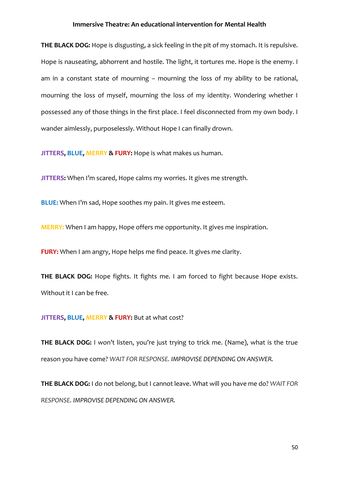**THE BLACK DOG:** Hope is disgusting, a sick feeling in the pit of my stomach. It is repulsive. Hope is nauseating, abhorrent and hostile. The light, it tortures me. Hope is the enemy. I am in a constant state of mourning – mourning the loss of my ability to be rational, mourning the loss of myself, mourning the loss of my identity. Wondering whether I possessed any of those things in the first place. I feel disconnected from my own body. I wander aimlessly, purposelessly. Without Hope I can finally drown.

**JITTERS, BLUE, MERRY & FURY:** Hope is what makes us human.

**JITTERS:** When I'm scared, Hope calms my worries. It gives me strength.

**BLUE:** When I'm sad, Hope soothes my pain. It gives me esteem.

**MERRY:** When I am happy, Hope offers me opportunity. It gives me inspiration.

**FURY:** When I am angry, Hope helps me find peace. It gives me clarity.

**THE BLACK DOG:** Hope fights. It fights me. I am forced to fight because Hope exists. Without it I can be free.

#### **JITTERS, BLUE, MERRY & FURY:** But at what cost?

**THE BLACK DOG:** I won't listen, you're just trying to trick me. (Name), what is the true reason you have come? *WAIT FOR RESPONSE. IMPROVISE DEPENDING ON ANSWER.*

**THE BLACK DOG:** I do not belong, but I cannot leave. What will you have me do? *WAIT FOR RESPONSE. IMPROVISE DEPENDING ON ANSWER.*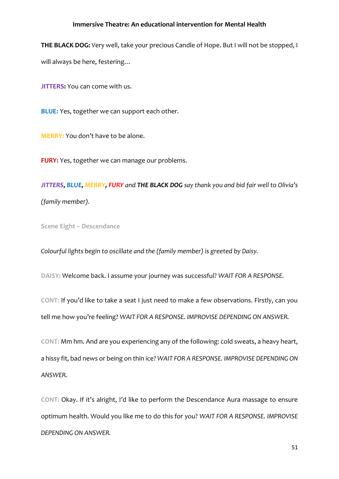**THE BLACK DOG:** Very well, take your precious Candle of Hope. But I will not be stopped, I will always be here, festering…

**JITTERS:** You can come with us.

**BLUE:** Yes, together we can support each other.

**MERRY:** You don't have to be alone.

**FURY:** Yes, together we can manage our problems.

*JITTERS, BLUE, MERRY, FURY and THE BLACK DOG say thank you and bid fair well to Olivia's (family member).*

**Scene Eight – Descendance**

*Colourful lights begin to oscillate and the (family member) is greeted by Daisy.*

**DAISY:** Welcome back. I assume your journey was successful? *WAIT FOR A RESPONSE.*

**CONT:** If you'd like to take a seat I just need to make a few observations. Firstly, can you tell me how you're feeling? *WAIT FOR A RESPONSE. IMPROVISE DEPENDING ON ANSWER.*

**CONT:** Mm hm. And are you experiencing any of the following: cold sweats, a heavy heart, a hissy fit, bad news or being on thin ice? *WAIT FOR A RESPONSE. IMPROVISE DEPENDING ON ANSWER.*

**CONT:** Okay. If it's alright, I'd like to perform the Descendance Aura massage to ensure optimum health. Would you like me to do this for you? *WAIT FOR A RESPONSE. IMPROVISE DEPENDING ON ANSWER.*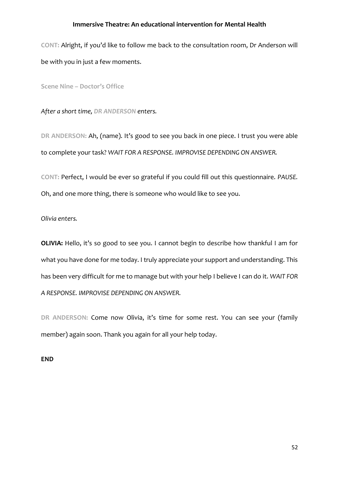**CONT:** Alright, if you'd like to follow me back to the consultation room, Dr Anderson will be with you in just a few moments.

**Scene Nine – Doctor's Office**

*After a short time, DR ANDERSON enters.*

**DR ANDERSON:** Ah, (name). It's good to see you back in one piece. I trust you were able to complete your task? *WAIT FOR A RESPONSE. IMPROVISE DEPENDING ON ANSWER.*

**CONT:** Perfect, I would be ever so grateful if you could fill out this questionnaire. *PAUSE.*  Oh, and one more thing, there is someone who would like to see you.

*Olivia enters.*

**OLIVIA:** Hello, it's so good to see you. I cannot begin to describe how thankful I am for what you have done for me today. I truly appreciate your support and understanding. This has been very difficult for me to manage but with your help I believe I can do it. *WAIT FOR A RESPONSE. IMPROVISE DEPENDING ON ANSWER.*

**DR ANDERSON:** Come now Olivia, it's time for some rest. You can see your (family member) again soon. Thank you again for all your help today.

**END**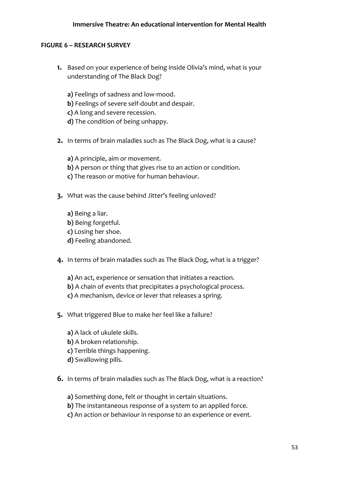# **FIGURE 6 – RESEARCH SURVEY**

- **1.** Based on your experience of being inside Olivia's mind, what is your understanding of The Black Dog?
	- **a)** Feelings of sadness and low-mood.
	- **b)** Feelings of severe self-doubt and despair.
	- **c)** A long and severe recession.
	- **d)** The condition of being unhappy.
- **2.** In terms of brain maladies such as The Black Dog, what is a cause?

**a)** A principle, aim or movement. **b)** A person or thing that gives rise to an action or condition. **c)** The reason or motive for human behaviour.

- **3.** What was the cause behind Jitter's feeling unloved?
	- **a)** Being a liar. **b)** Being forgetful.
	- **c)** Losing her shoe.
	- **d)** Feeling abandoned.
- **4.** In terms of brain maladies such as The Black Dog, what is a trigger?
	- **a)** An act, experience or sensation that initiates a reaction. **b)** A chain of events that precipitates a psychological process. **c)** A mechanism, device or lever that releases a spring.
- **5.** What triggered Blue to make her feel like a failure?
	- **a)** A lack of ukulele skills. **b)** A broken relationship. **c)** Terrible things happening. **d)** Swallowing pills.
- **6.** In terms of brain maladies such as The Black Dog, what is a reaction?

**a)** Something done, felt or thought in certain situations.

- **b)** The instantaneous response of a system to an applied force.
- **c)** An action or behaviour in response to an experience or event.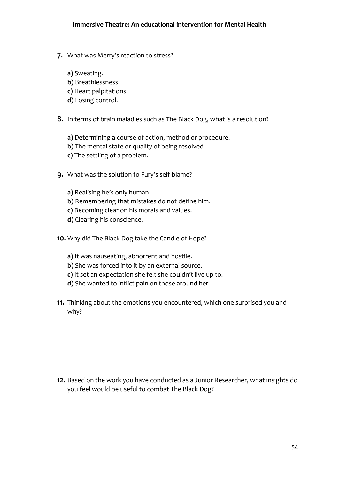- **7.** What was Merry's reaction to stress?
	- **a)** Sweating.
	- **b)** Breathlessness.
	- **c)** Heart palpitations.
	- **d)** Losing control.
- **8.** In terms of brain maladies such as The Black Dog, what is a resolution?
	- **a)** Determining a course of action, method or procedure.
	- **b)** The mental state or quality of being resolved.
	- **c)** The settling of a problem.
- **9.** What was the solution to Fury's self-blame?
	- **a)** Realising he's only human. **b)** Remembering that mistakes do not define him. **c)** Becoming clear on his morals and values.
	- **d)** Clearing his conscience.
- **10.** Why did The Black Dog take the Candle of Hope?
	- **a)** It was nauseating, abhorrent and hostile.
	- **b)** She was forced into it by an external source.
	- **c)** It set an expectation she felt she couldn't live up to.
	- **d)** She wanted to inflict pain on those around her.
- **11.** Thinking about the emotions you encountered, which one surprised you and why?

**12.** Based on the work you have conducted as a Junior Researcher, what insights do you feel would be useful to combat The Black Dog?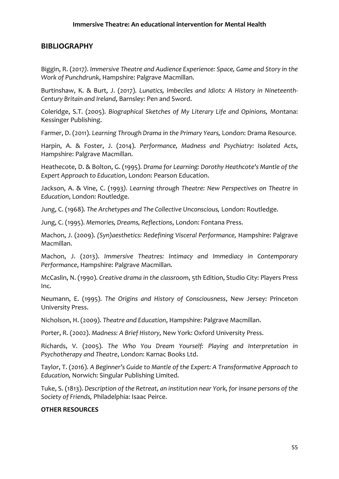# **BIBLIOGRAPHY**

Biggin, R. (2017*). Immersive Theatre and Audience Experience: Space, Game and Story in the Work of Punchdrunk*, Hampshire: Palgrave Macmillan.

Burtinshaw, K. & Burt, J. (2017). *Lunatics, Imbeciles and Idiots: A History in Nineteenth-Century Britain and Ireland*, Barnsley: Pen and Sword.

Coleridge, S.T. (2005). *Biographical Sketches of My Literary Life and Opinions,* Montana: Kessinger Publishing.

Farmer, D. (2011). *Learning Through Drama in the Primary Years,* London: Drama Resource.

Harpin, A. & Foster, J. (2014). *Performance, Madness and Psychiatry: Isolated Acts*, Hampshire: Palgrave Macmillan.

Heathecote, D. & Bolton, G. (1995). *Drama for Learning: Dorothy Heathcote's Mantle of the Expert Approach to Education*, London: Pearson Education.

Jackson, A. & Vine, C. (1993*). Learning through Theatre: New Perspectives on Theatre in Education*, London: Routledge.

Jung, C. (1968). *The Archetypes and The Collective Unconscious,* London: Routledge.

Jung, C. (1995). *Memories, Dreams, Reflections*, London: Fontana Press.

Machon, J. (2009). *(Syn)aesthetics: Redefining Visceral Performance,* Hampshire: Palgrave Macmillan.

Machon, J. (2013). *Immersive Theatres: Intimacy and Immediacy in Contemporary Performance*, Hampshire: Palgrave Macmillan.

McCaslin, N. (1990). *Creative drama in the classroom*, 5th Edition, Studio City: Players Press Inc.

Neumann, E. (1995). *The Origins and History of Consciousness*, New Jersey: Princeton University Press.

Nicholson, H. (2009). *Theatre and Education*, Hampshire: Palgrave Macmillan.

Porter, R. (2002). *Madness: A Brief History,* New York: Oxford University Press.

Richards, V. (2005). *The Who You Dream Yourself: Playing and Interpretation in Psychotherapy and Theatre*, London: Karnac Books Ltd.

Taylor, T. (2016). *A Beginner's Guide to Mantle of the Expert: A Transformative Approach to Education,* Norwich: Singular Publishing Limited.

Tuke, S. (1813). *Description of the Retreat, an institution near York, for insane persons of the Society of Friends,* Philadelphia: Isaac Peirce.

# **OTHER RESOURCES**